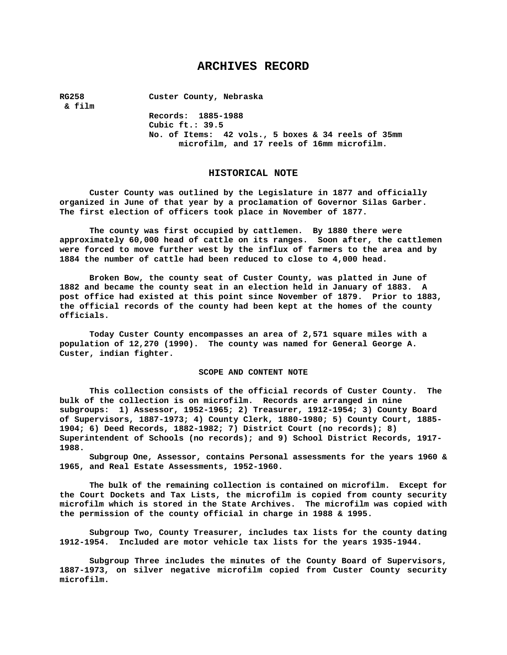# **ARCHIVES RECORD**

**RG258 Custer County, Nebraska** 

 **& film** 

**Records: 1885-1988 Cubic ft.: 39.5 No. of Items: 42 vols., 5 boxes & 34 reels of 35mm microfilm, and 17 reels of 16mm microfilm.** 

### **HISTORICAL NOTE**

**Custer County was outlined by the Legislature in 1877 and officially organized in June of that year by a proclamation of Governor Silas Garber. The first election of officers took place in November of 1877.** 

**The county was first occupied by cattlemen. By 1880 there were approximately 60,000 head of cattle on its ranges. Soon after, the cattlemen were forced to move further west by the influx of farmers to the area and by 1884 the number of cattle had been reduced to close to 4,000 head.** 

**Broken Bow, the county seat of Custer County, was platted in June of 1882 and became the county seat in an election held in January of 1883. A post office had existed at this point since November of 1879. Prior to 1883, the official records of the county had been kept at the homes of the county officials.** 

**Today Custer County encompasses an area of 2,571 square miles with a population of 12,270 (1990). The county was named for General George A. Custer, indian fighter.** 

#### **SCOPE AND CONTENT NOTE**

**This collection consists of the official records of Custer County. The bulk of the collection is on microfilm. Records are arranged in nine subgroups: 1) Assessor, 1952-1965; 2) Treasurer, 1912-1954; 3) County Board of Supervisors, 1887-1973; 4) County Clerk, 1880-1980; 5) County Court, 1885- 1904; 6) Deed Records, 1882-1982; 7) District Court (no records); 8) Superintendent of Schools (no records); and 9) School District Records, 1917- 1988.** 

**Subgroup One, Assessor, contains Personal assessments for the years 1960 & 1965, and Real Estate Assessments, 1952-1960.** 

**The bulk of the remaining collection is contained on microfilm. Except for the Court Dockets and Tax Lists, the microfilm is copied from county security microfilm which is stored in the State Archives. The microfilm was copied with the permission of the county official in charge in 1988 & 1995.** 

**Subgroup Two, County Treasurer, includes tax lists for the county dating 1912-1954. Included are motor vehicle tax lists for the years 1935-1944.** 

**Subgroup Three includes the minutes of the County Board of Supervisors, 1887-1973, on silver negative microfilm copied from Custer County security microfilm.**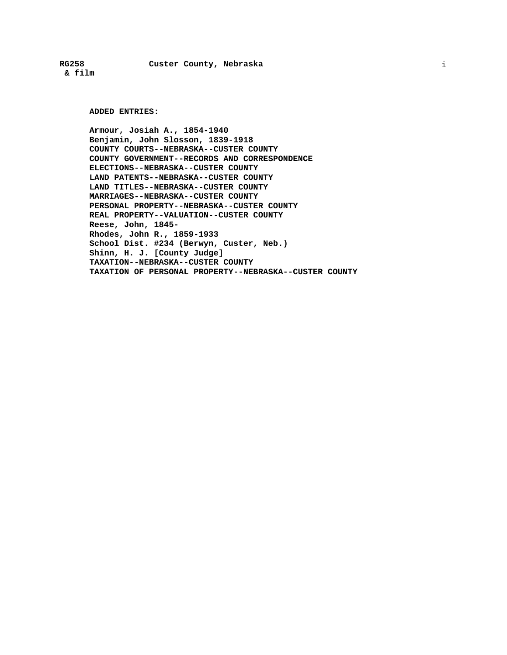**& film** 

# **RG258 Custer County, Nebraska**

**ADDED ENTRIES:** 

**Armour, Josiah A., 1854-1940 Benjamin, John Slosson, 1839-1918 COUNTY COURTS--NEBRASKA--CUSTER COUNTY COUNTY GOVERNMENT--RECORDS AND CORRESPONDENCE ELECTIONS--NEBRASKA--CUSTER COUNTY LAND PATENTS--NEBRASKA--CUSTER COUNTY LAND TITLES--NEBRASKA--CUSTER COUNTY MARRIAGES--NEBRASKA--CUSTER COUNTY PERSONAL PROPERTY--NEBRASKA--CUSTER COUNTY REAL PROPERTY--VALUATION--CUSTER COUNTY Reese, John, 1845- Rhodes, John R., 1859-1933 School Dist. #234 (Berwyn, Custer, Neb.) Shinn, H. J. [County Judge] TAXATION--NEBRASKA--CUSTER COUNTY TAXATION OF PERSONAL PROPERTY--NEBRASKA--CUSTER COUNTY**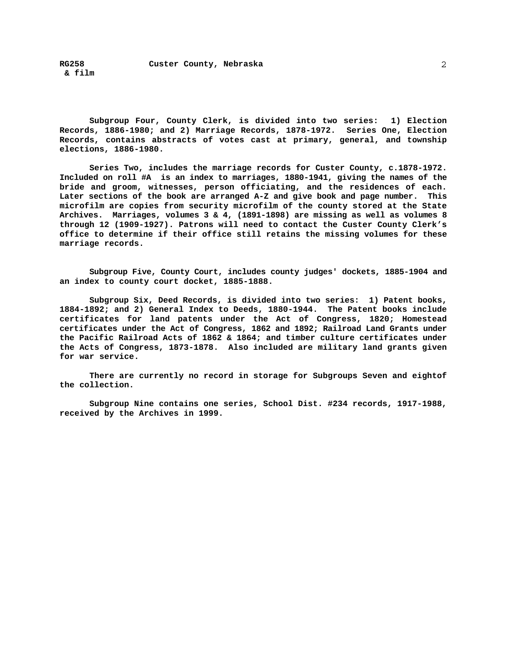**RG258 Custer County, Nebraska & film** 

**Subgroup Four, County Clerk, is divided into two series: 1) Election Records, 1886-1980; and 2) Marriage Records, 1878-1972. Series One, Election Records, contains abstracts of votes cast at primary, general, and township elections, 1886-1980.** 

**Series Two, includes the marriage records for Custer County, c.1878-1972. Included on roll #A is an index to marriages, 1880-1941, giving the names of the bride and groom, witnesses, person officiating, and the residences of each. Later sections of the book are arranged A-Z and give book and page number. This microfilm are copies from security microfilm of the county stored at the State Archives. Marriages, volumes 3 & 4, (1891-1898) are missing as well as volumes 8 through 12 (1909-1927). Patrons will need to contact the Custer County Clerk's office to determine if their office still retains the missing volumes for these marriage records.** 

**Subgroup Five, County Court, includes county judges' dockets, 1885-1904 and an index to county court docket, 1885-1888.** 

**Subgroup Six, Deed Records, is divided into two series: 1) Patent books, 1884-1892; and 2) General Index to Deeds, 1880-1944. The Patent books include certificates for land patents under the Act of Congress, 1820; Homestead certificates under the Act of Congress, 1862 and 1892; Railroad Land Grants under the Pacific Railroad Acts of 1862 & 1864; and timber culture certificates under the Acts of Congress, 1873-1878. Also included are military land grants given for war service.** 

**There are currently no record in storage for Subgroups Seven and eightof the collection.** 

**Subgroup Nine contains one series, School Dist. #234 records, 1917-1988, received by the Archives in 1999.**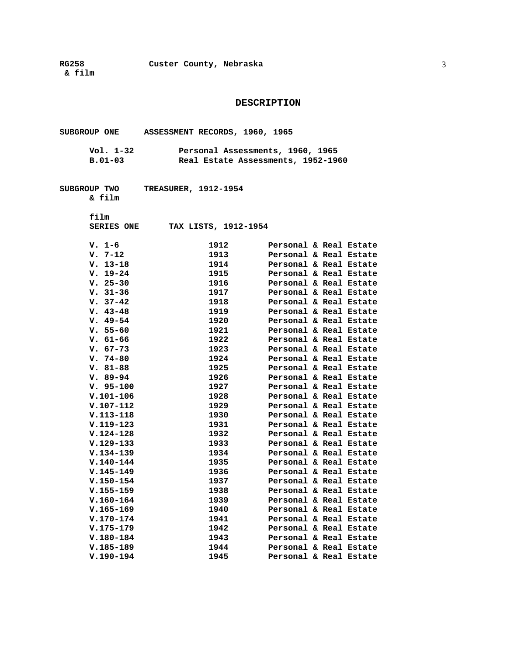**DESCRIPTION** 

|                        | SUBGROUP ONE ASSESSMENT RECORDS, 1960, 1965                            |                                                  |
|------------------------|------------------------------------------------------------------------|--------------------------------------------------|
| Vol. 1–32<br>$B.01-03$ | Personal Assessments, 1960, 1965<br>Real Estate Assessments, 1952-1960 |                                                  |
| SUBGROUP TWO<br>& film | <b>TREASURER, 1912-1954</b>                                            |                                                  |
| film                   |                                                                        |                                                  |
|                        |                                                                        |                                                  |
| <b>SERIES ONE</b>      | TAX LISTS, 1912-1954                                                   |                                                  |
| v. 1–6                 | 1912 — 1912                                                            | Personal & Real Estate                           |
| $V. 7-12$              | 1913 — 1913                                                            | Personal & Real Estate                           |
| $V. 13-18$             | 1914 — 1914                                                            | Personal & Real Estate                           |
| $V. 19-24$             | 1915                                                                   | Personal & Real Estate                           |
| $V. 25-30$             | 1916                                                                   | Personal & Real Estate                           |
| $V. 31-36$             | 1917                                                                   | Personal & Real Estate                           |
| $V. 37-42$             | 1918                                                                   | Personal & Real Estate                           |
| $V. 43-48$             | 1919                                                                   | Personal & Real Estate                           |
| $V.49-54$              | 1920                                                                   | Personal & Real Estate                           |
| $V. 55-60$             | 1921                                                                   | Personal & Real Estate                           |
| $V. 61-66$             | 1922                                                                   | Personal & Real Estate                           |
| $V. 67-73$             | 1923                                                                   | Personal & Real Estate                           |
| $V.74-80$              | 1924                                                                   | Personal & Real Estate                           |
| $V. 81-88$             | 1925                                                                   | Personal & Real Estate                           |
| $V. 89-94$             | 1926                                                                   | Personal & Real Estate                           |
| $V. 95-100$            | 1927                                                                   | Personal & Real Estate                           |
| $V.101 - 106$          | 1928                                                                   | Personal & Real Estate                           |
| $V.107-112$            | 1929                                                                   | Personal & Real Estate                           |
| $V.113 - 118$          | 1930                                                                   | Personal & Real Estate                           |
| $V.119-123$            | 1931                                                                   | Personal & Real Estate                           |
| $V.124-128$            | 1932                                                                   | Personal & Real Estate                           |
| $V.129-133$            | 1933                                                                   | Personal & Real Estate                           |
| $V.134-139$            | 1934 72                                                                | Personal & Real Estate                           |
| $V.140 - 144$          | 1935                                                                   | Personal & Real Estate                           |
| $V.145 - 149$          | 1936                                                                   | Personal & Real Estate                           |
| $V.150 - 154$          | 1937                                                                   | Personal & Real Estate                           |
| $V.155 - 159$          | 1938                                                                   | Personal & Real Estate                           |
| $V.160 - 164$          |                                                                        | Personal & Real Estate                           |
| $V.165 - 169$          | 1939                                                                   |                                                  |
|                        | 1940<br>1941                                                           | Personal & Real Estate<br>Personal & Real Estate |
| $V.170 - 174$          |                                                                        |                                                  |
| $V.175 - 179$          | 1942                                                                   | Personal & Real Estate                           |
| $V.180 - 184$          | 1943                                                                   | Personal & Real Estate                           |
| $V.185 - 189$          | 1944                                                                   | Personal & Real Estate                           |
| $V.190 - 194$          | 1945                                                                   | Personal & Real Estate                           |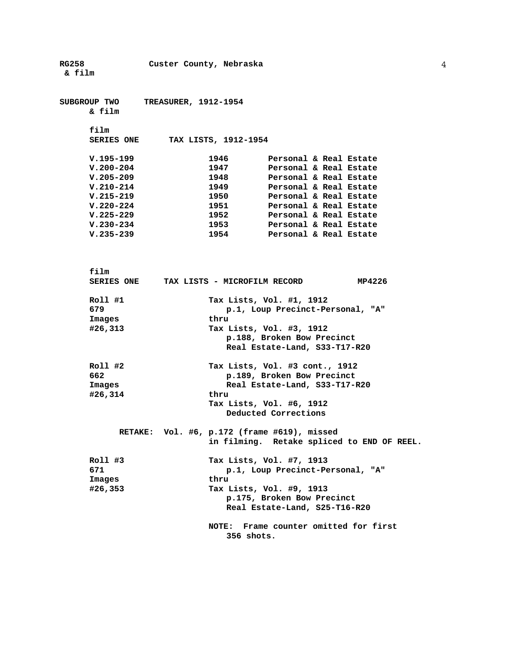| <b>RG258</b>      |                             | Custer County, Nebraska |                                             |        |
|-------------------|-----------------------------|-------------------------|---------------------------------------------|--------|
| & film            |                             |                         |                                             |        |
|                   |                             |                         |                                             |        |
| SUBGROUP TWO      | <b>TREASURER, 1912-1954</b> |                         |                                             |        |
| & film            |                             |                         |                                             |        |
| film              |                             |                         |                                             |        |
| <b>SERIES ONE</b> |                             | TAX LISTS, 1912-1954    |                                             |        |
| $V.195-199$       |                             | 1946                    | Personal & Real Estate                      |        |
| $V.200 - 204$     |                             | 1947                    | Personal & Real Estate                      |        |
| $V.205 - 209$     |                             | 1948                    | Personal & Real Estate                      |        |
| $V.210-214$       |                             | 1949                    | Personal & Real Estate                      |        |
| $V.215 - 219$     |                             | 1950                    | Personal & Real Estate                      |        |
| $V.220 - 224$     |                             | 1951                    | Personal & Real Estate                      |        |
| $V.225 - 229$     |                             | 1952                    | Personal & Real Estate                      |        |
| $V.230 - 234$     |                             | 1953                    | Personal & Real Estate                      |        |
| $V.235 - 239$     |                             | 1954                    | Personal & Real Estate                      |        |
|                   |                             |                         |                                             |        |
| film              |                             |                         |                                             |        |
|                   |                             |                         | SERIES ONE TAX LISTS - MICROFILM RECORD     | MP4226 |
| Roll #1           |                             |                         | Tax Lists, Vol. #1, 1912                    |        |
| 679               |                             |                         | p.1, Loup Precinct-Personal, "A"            |        |
| Images            |                             | thru                    |                                             |        |
| #26,313           |                             |                         | Tax Lists, Vol. #3, 1912                    |        |
|                   |                             |                         | p.188, Broken Bow Precinct                  |        |
|                   |                             |                         | Real Estate-Land, S33-T17-R20               |        |
| Roll #2           |                             |                         | Tax Lists, Vol. #3 cont., 1912              |        |
| 662               |                             |                         | p.189, Broken Bow Precinct                  |        |
| Images            |                             |                         | Real Estate-Land, S33-T17-R20               |        |
| #26,314           |                             | thru                    |                                             |        |
|                   |                             |                         | Tax Lists, Vol. #6, 1912                    |        |
|                   |                             |                         | Deducted Corrections                        |        |
|                   |                             |                         | RETAKE: Vol. #6, p.172 (frame #619), missed |        |
|                   |                             |                         | in filming. Retake spliced to END OF REEL.  |        |
| $Roll$ #3         |                             |                         | Tax Lists, Vol. #7, 1913                    |        |
| 671               |                             |                         | p.1, Loup Precinct-Personal, "A"            |        |
| Images            |                             | thru                    |                                             |        |
| #26,353           |                             |                         | Tax Lists, Vol. #9, 1913                    |        |
|                   |                             |                         | p.175, Broken Bow Precinct                  |        |
|                   |                             |                         | Real Estate-Land, S25-T16-R20               |        |
|                   |                             | <b>NOTE:</b>            | Frame counter omitted for first             |        |
|                   |                             | 356 shots.              |                                             |        |
|                   |                             |                         |                                             |        |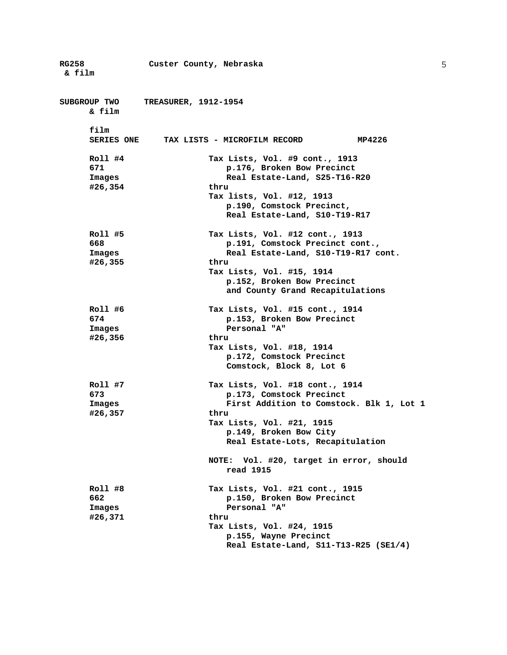**RG258 Custer County, Nebraska & film SUBGROUP TWO TREASURER, 1912-1954 & film film SERIES ONE TAX LISTS - MICROFILM RECORD MP4226 Roll #4 Tax Lists, Vol. #9 cont., 1913 671 p.176, Broken Bow Precinct Images Real Estate-Land, S25-T16-R20 #26,354 thru Tax lists, Vol. #12, 1913 p.190, Comstock Precinct, Real Estate-Land, S10-T19-R17 Roll #5 Tax Lists, Vol. #12 cont., 1913 668 p.191, Comstock Precinct cont., Images Real Estate-Land, S10-T19-R17 cont. #26,355 thru Tax Lists, Vol. #15, 1914 p.152, Broken Bow Precinct and County Grand Recapitulations Roll #6 Tax Lists, Vol. #15 cont., 1914 674 p.153, Broken Bow Precinct Images Personal "A" #26,356 thru Tax Lists, Vol. #18, 1914 p.172, Comstock Precinct Comstock, Block 8, Lot 6 Roll #7 Tax Lists, Vol. #18 cont., 1914 673 p.173, Comstock Precinct Images First Addition to Comstock. Blk 1, Lot 1 #26,357 thru Tax Lists, Vol. #21, 1915 p.149, Broken Bow City Real Estate-Lots, Recapitulation NOTE: Vol. #20, target in error, should read 1915 Roll #8 Tax Lists, Vol. #21 cont., 1915 662 p.150, Broken Bow Precinct Images Personal "A" #26,371 thru Tax Lists, Vol. #24, 1915 p.155, Wayne Precinct Real Estate-Land, S11-T13-R25 (SE1/4)**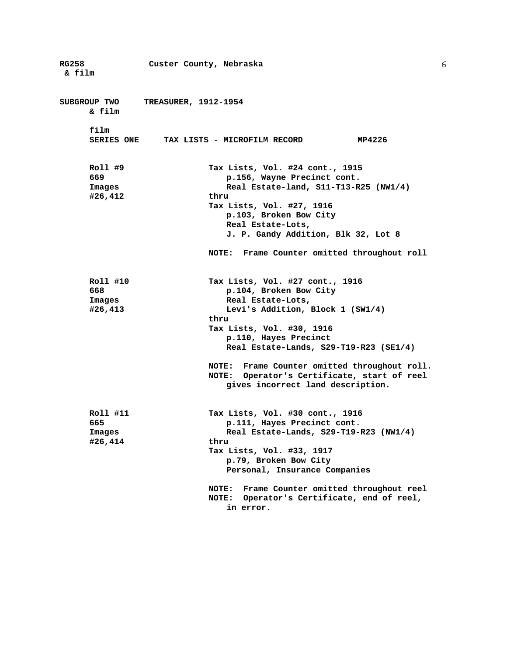| <b>RG258</b>      | Custer County, Nebraska                                               |
|-------------------|-----------------------------------------------------------------------|
| & film            |                                                                       |
|                   |                                                                       |
| SUBGROUP TWO      | <b>TREASURER, 1912-1954</b>                                           |
| & film            |                                                                       |
|                   |                                                                       |
| film              |                                                                       |
| <b>SERIES ONE</b> | MP4226<br>TAX LISTS - MICROFILM RECORD                                |
|                   |                                                                       |
| Roll #9           | Tax Lists, Vol. #24 cont., 1915                                       |
| 669               | p.156, Wayne Precinct cont.                                           |
| Images            | Real Estate-land, S11-T13-R25 (NW1/4)                                 |
| #26,412           | thru                                                                  |
|                   | Tax Lists, Vol. #27, 1916                                             |
|                   | p.103, Broken Bow City                                                |
|                   | Real Estate-Lots,                                                     |
|                   | J. P. Gandy Addition, Blk 32, Lot 8                                   |
|                   |                                                                       |
|                   | NOTE: Frame Counter omitted throughout roll                           |
|                   |                                                                       |
| Roll #10          | Tax Lists, Vol. #27 cont., 1916                                       |
| 668               | p.104, Broken Bow City                                                |
| Images            | Real Estate-Lots,                                                     |
| #26,413           | Levi's Addition, Block 1 (SW1/4)                                      |
|                   | thru                                                                  |
|                   | Tax Lists, Vol. #30, 1916                                             |
|                   | p.110, Hayes Precinct                                                 |
|                   | Real Estate-Lands, S29-T19-R23 (SE1/4)                                |
|                   | NOTE: Frame Counter omitted throughout roll.                          |
|                   | NOTE: Operator's Certificate, start of reel                           |
|                   | gives incorrect land description.                                     |
|                   |                                                                       |
|                   |                                                                       |
| Roll #11          | Tax Lists, Vol. #30 cont., 1916                                       |
| 665               | p.111, Hayes Precinct cont.<br>Real Estate-Lands, S29-T19-R23 (NW1/4) |
| Images<br>#26,414 | thru                                                                  |
|                   | Tax Lists, Vol. #33, 1917                                             |
|                   | p.79, Broken Bow City                                                 |
|                   | Personal, Insurance Companies                                         |
|                   |                                                                       |
|                   | Frame Counter omitted throughout reel<br><b>NOTE:</b>                 |
|                   | Operator's Certificate, end of reel,<br><b>NOTE:</b>                  |
|                   | in error.                                                             |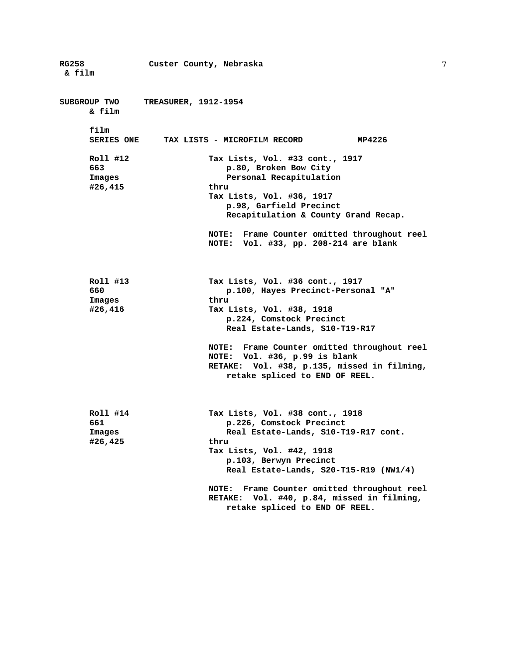**RG258 Custer County, Nebraska & film SUBGROUP TWO TREASURER, 1912-1954 & film film SERIES ONE TAX LISTS - MICROFILM RECORD MP4226 Roll #12 Tax Lists, Vol. #33 cont., 1917 663 p.80, Broken Bow City Images** Personal Recapitulation **#26,415 thru Tax Lists, Vol. #36, 1917 p.98, Garfield Precinct Recapitulation & County Grand Recap. NOTE: Frame Counter omitted throughout reel NOTE: Vol. #33, pp. 208-214 are blank Roll #13 Tax Lists, Vol. #36 cont., 1917 660 p.100, Hayes Precinct-Personal "A" Images thru #26,416 Tax Lists, Vol. #38, 1918 p.224, Comstock Precinct Real Estate-Lands, S10-T19-R17 NOTE: Frame Counter omitted throughout reel NOTE: Vol. #36, p.99 is blank RETAKE: Vol. #38, p.135, missed in filming, retake spliced to END OF REEL. Roll #14 Tax Lists, Vol. #38 cont., 1918 661 p.226, Comstock Precinct Images Real Estate-Lands, S10-T19-R17 cont. #26,425 thru Tax Lists, Vol. #42, 1918 p.103, Berwyn Precinct Real Estate-Lands, S20-T15-R19 (NW1/4) NOTE: Frame Counter omitted throughout reel RETAKE: Vol. #40, p.84, missed in filming, retake spliced to END OF REEL.**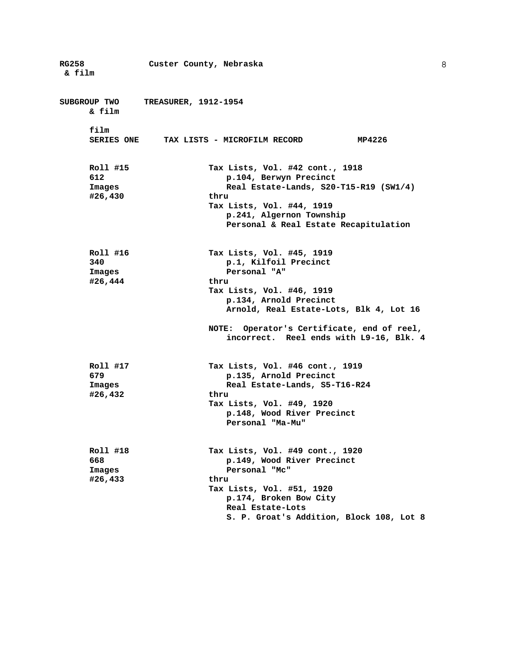| <b>RG258</b><br>& film               | Custer County, Nebraska                                                                                                                                                                                       |
|--------------------------------------|---------------------------------------------------------------------------------------------------------------------------------------------------------------------------------------------------------------|
| SUBGROUP TWO<br>& film               | <b>TREASURER, 1912-1954</b>                                                                                                                                                                                   |
| film<br><b>SERIES ONE</b>            | MP4226<br>TAX LISTS - MICROFILM RECORD                                                                                                                                                                        |
| Roll #15<br>612<br>Images<br>#26,430 | Tax Lists, Vol. #42 cont., 1918<br>p.104, Berwyn Precinct<br>Real Estate-Lands, S20-T15-R19 (SW1/4)<br>thru<br>Tax Lists, Vol. #44, 1919<br>p.241, Algernon Township<br>Personal & Real Estate Recapitulation |
| Roll #16<br>340<br>Images<br>#26,444 | Tax Lists, Vol. #45, 1919<br>p.1, Kilfoil Precinct<br>Personal "A"<br>thru<br>Tax Lists, Vol. #46, 1919<br>p.134, Arnold Precinct<br>Arnold, Real Estate-Lots, Blk 4, Lot 16                                  |
|                                      | NOTE: Operator's Certificate, end of reel,<br>incorrect. Reel ends with L9-16, Blk. 4                                                                                                                         |
| Roll #17<br>679<br>Images<br>#26,432 | Tax Lists, Vol. #46 cont., 1919<br>p.135, Arnold Precinct<br>Real Estate-Lands, S5-T16-R24<br>thru<br>Tax Lists, Vol. #49, 1920<br>p.148, Wood River Precinct<br>Personal "Ma-Mu"                             |
| Roll #18<br>668<br>Images<br>#26,433 | Tax Lists, Vol. #49 cont., 1920<br>p.149, Wood River Precinct<br>Personal "Mc"<br>thru<br>Tax Lists, Vol. #51, 1920<br>p.174, Broken Bow City<br>Real Estate-Lots<br>S. P. Groat's Addition, Block 108, Lot 8 |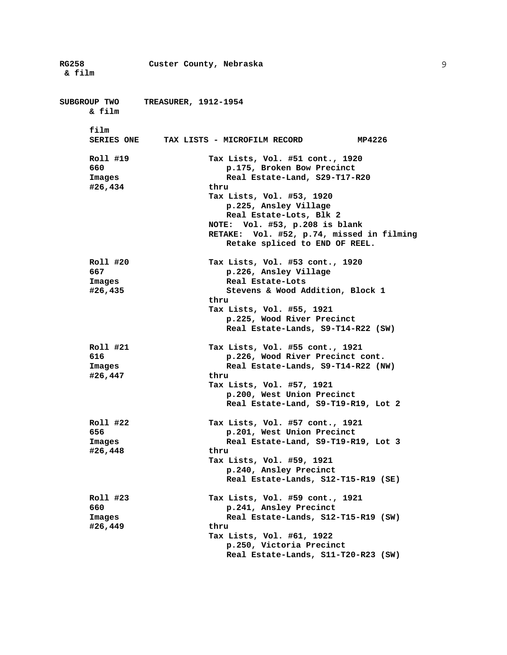**RG258 Custer County, Nebraska & film SUBGROUP TWO TREASURER, 1912-1954 & film film SERIES ONE TAX LISTS - MICROFILM RECORD MP4226 Roll #19 Tax Lists, Vol. #51 cont., 1920 660 p.175, Broken Bow Precinct Images Real Estate-Land, S29-T17-R20 #26,434 thru Tax Lists, Vol. #53, 1920 p.225, Ansley Village Real Estate-Lots, Blk 2 NOTE: Vol. #53, p.208 is blank RETAKE: Vol. #52, p.74, missed in filming Retake spliced to END OF REEL. Roll #20 Tax Lists, Vol. #53 cont., 1920 667 p.226, Ansley Village**  Images Real Estate-Lots **#26,435 Stevens & Wood Addition, Block 1 thru Tax Lists, Vol. #55, 1921 p.225, Wood River Precinct Real Estate-Lands, S9-T14-R22 (SW) Roll #21 Tax Lists, Vol. #55 cont., 1921 616 p.226, Wood River Precinct cont. Images Real Estate-Lands, S9-T14-R22 (NW) #26,447 thru Tax Lists, Vol. #57, 1921 p.200, West Union Precinct Real Estate-Land, S9-T19-R19, Lot 2 Roll #22 Tax Lists, Vol. #57 cont., 1921 656 p.201, West Union Precinct Images Real Estate-Land, S9-T19-R19, Lot 3 #26,448 thru Tax Lists, Vol. #59, 1921 p.240, Ansley Precinct Real Estate-Lands, S12-T15-R19 (SE) Roll #23 Tax Lists, Vol. #59 cont., 1921 660 p.241, Ansley Precinct Images Real Estate-Lands, S12-T15-R19 (SW) #26,449 thru Tax Lists, Vol. #61, 1922 p.250, Victoria Precinct Real Estate-Lands, S11-T20-R23 (SW)**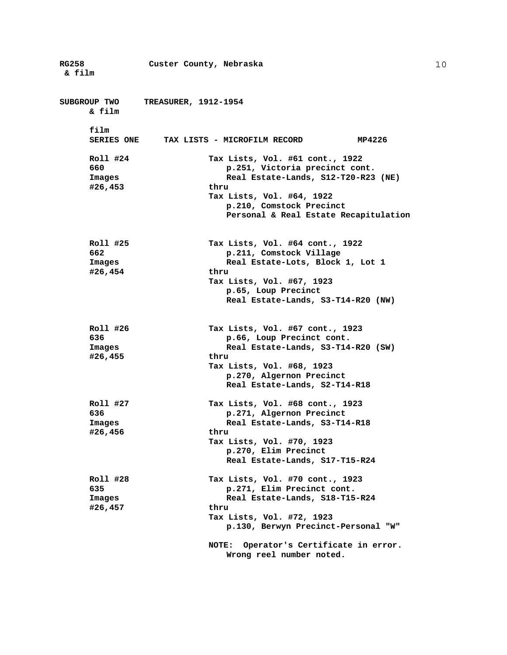| <b>RG258</b><br>& film               | Custer County, Nebraska                                                                                                                                                                                                                                     |
|--------------------------------------|-------------------------------------------------------------------------------------------------------------------------------------------------------------------------------------------------------------------------------------------------------------|
| SUBGROUP TWO<br>& film               | <b>TREASURER, 1912-1954</b>                                                                                                                                                                                                                                 |
| film                                 | SERIES ONE TAX LISTS - MICROFILM RECORD<br>MP4226                                                                                                                                                                                                           |
| Roll #24<br>660<br>Images<br>#26,453 | Tax Lists, Vol. #61 cont., 1922<br>p.251, Victoria precinct cont.<br>Real Estate-Lands, S12-T20-R23 (NE)<br>thru<br>Tax Lists, Vol. #64, 1922<br>p.210, Comstock Precinct<br>Personal & Real Estate Recapitulation                                          |
| Roll #25<br>662<br>Images<br>#26,454 | Tax Lists, Vol. #64 cont., 1922<br>p.211, Comstock Village<br>Real Estate-Lots, Block 1, Lot 1<br>thru<br>Tax Lists, Vol. #67, 1923<br>p.65, Loup Precinct<br>Real Estate-Lands, S3-T14-R20 (NW)                                                            |
| Roll #26<br>636<br>Images<br>#26,455 | Tax Lists, Vol. #67 cont., 1923<br>p.66, Loup Precinct cont.<br>Real Estate-Lands, S3-T14-R20 (SW)<br>thru<br>Tax Lists, Vol. #68, 1923<br>p.270, Algernon Precinct<br>Real Estate-Lands, S2-T14-R18                                                        |
| Roll #27<br>636<br>Images<br>#26,456 | Tax Lists, Vol. #68 cont., 1923<br>p.271, Algernon Precinct<br>Real Estate-Lands, S3-T14-R18<br>thru<br>Tax Lists, Vol. #70, 1923<br>p.270, Elim Precinct<br>Real Estate-Lands, S17-T15-R24                                                                 |
| Roll #28<br>635<br>Images<br>#26,457 | Tax Lists, Vol. #70 cont., 1923<br>p.271, Elim Precinct cont.<br>Real Estate-Lands, S18-T15-R24<br>thru<br>Tax Lists, Vol. #72, 1923<br>p.130, Berwyn Precinct-Personal "W"<br>Operator's Certificate in error.<br><b>NOTE:</b><br>Wrong reel number noted. |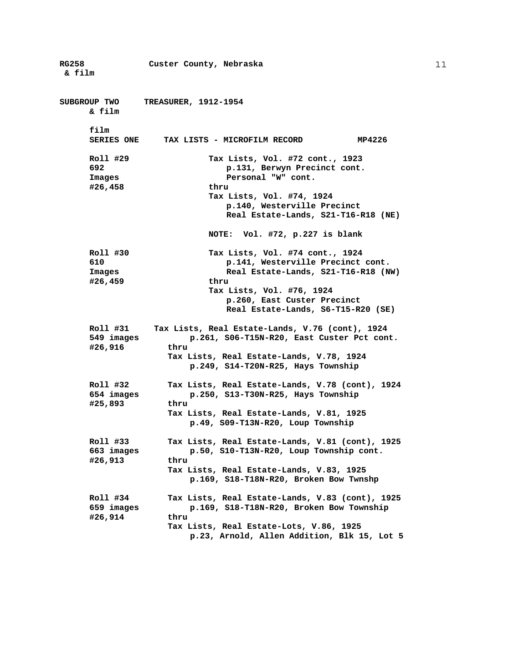**RG258 Custer County, Nebraska & film SUBGROUP TWO TREASURER, 1912-1954 & film film SERIES ONE TAX LISTS - MICROFILM RECORD MP4226 Roll #29 Tax Lists, Vol. #72 cont., 1923 692 p.131, Berwyn Precinct cont. Images Personal "W" cont. #26,458 thru Tax Lists, Vol. #74, 1924 p.140, Westerville Precinct Real Estate-Lands, S21-T16-R18 (NE) NOTE: Vol. #72, p.227 is blank Roll #30 Tax Lists, Vol. #74 cont., 1924 610 p.141, Westerville Precinct cont. Images Real Estate-Lands, S21-T16-R18 (NW) #26,459 thru Tax Lists, Vol. #76, 1924 p.260, East Custer Precinct Real Estate-Lands, S6-T15-R20 (SE) Roll #31 Tax Lists, Real Estate-Lands, V.76 (cont), 1924 549 images p.261, S06-T15N-R20, East Custer Pct cont. #26,916 thru Tax Lists, Real Estate-Lands, V.78, 1924 p.249, S14-T20N-R25, Hays Township Roll #32 Tax Lists, Real Estate-Lands, V.78 (cont), 1924 654 images p.250, S13-T30N-R25, Hays Township #25,893 thru Tax Lists, Real Estate-Lands, V.81, 1925 p.49, S09-T13N-R20, Loup Township Roll #33 Tax Lists, Real Estate-Lands, V.81 (cont), 1925 663 images p.50, S10-T13N-R20, Loup Township cont. #26,913 thru Tax Lists, Real Estate-Lands, V.83, 1925 p.169, S18-T18N-R20, Broken Bow Twnshp Roll #34 Tax Lists, Real Estate-Lands, V.83 (cont), 1925 659 images p.169, S18-T18N-R20, Broken Bow Township #26,914 thru Tax Lists, Real Estate-Lots, V.86, 1925 p.23, Arnold, Allen Addition, Blk 15, Lot 5**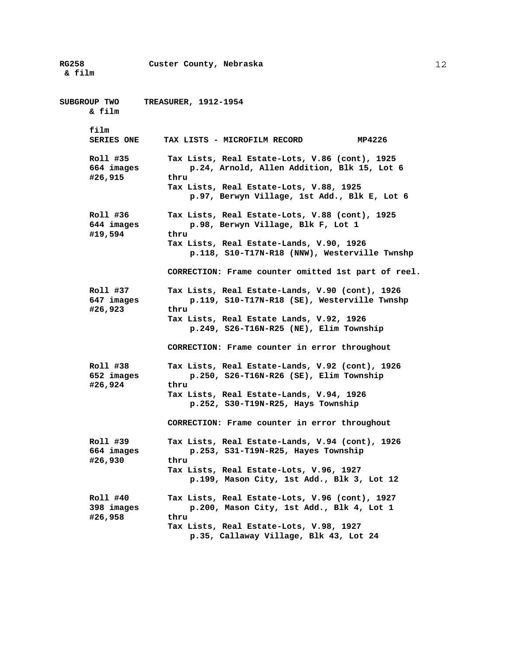**RG258 Custer County, Nebraska & film SUBGROUP TWO TREASURER, 1912-1954 & film film SERIES ONE TAX LISTS - MICROFILM RECORD MP4226 Roll #35 Tax Lists, Real Estate-Lots, V.86 (cont), 1925 664 images p.24, Arnold, Allen Addition, Blk 15, Lot 6 #26,915 thru Tax Lists, Real Estate-Lots, V.88, 1925 p.97, Berwyn Village, 1st Add., Blk E, Lot 6 Roll #36 Tax Lists, Real Estate-Lots, V.88 (cont), 1925 644 images p.98, Berwyn Village, Blk F, Lot 1 #19,594 thru Tax Lists, Real Estate-Lands, V.90, 1926 p.118, S10-T17N-R18 (NNW), Westerville Twnshp CORRECTION: Frame counter omitted 1st part of reel. Roll #37 Tax Lists, Real Estate-Lands, V.90 (cont), 1926 647 images p.119, S10-T17N-R18 (SE), Westerville Twnshp #26,923 thru Tax Lists, Real Estate Lands, V.92, 1926 p.249, S26-T16N-R25 (NE), Elim Township CORRECTION: Frame counter in error throughout Roll #38 Tax Lists, Real Estate-Lands, V.92 (cont), 1926 652 images p.250, S26-T16N-R26 (SE), Elim Township #26,924 thru Tax Lists, Real Estate-Lands, V.94, 1926 p.252, S30-T19N-R25, Hays Township CORRECTION: Frame counter in error throughout Roll #39 Tax Lists, Real Estate-Lands, V.94 (cont), 1926 664 images p.253, S31-T19N-R25, Hayes Township #26,930 thru Tax Lists, Real Estate-Lots, V.96, 1927 p.199, Mason City, 1st Add., Blk 3, Lot 12 Roll #40 Tax Lists, Real Estate-Lots, V.96 (cont), 1927 398 images p.200, Mason City, 1st Add., Blk 4, Lot 1 #26,958 thru Tax Lists, Real Estate-Lots, V.98, 1927 p.35, Callaway Village, Blk 43, Lot 24**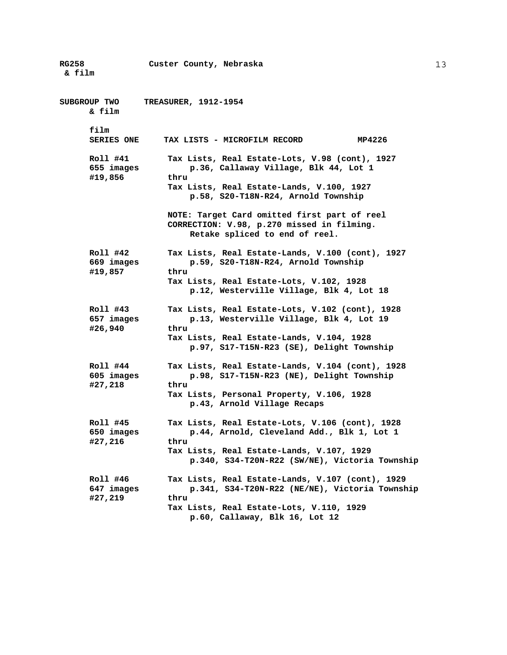**RG258 Custer County, Nebraska & film SUBGROUP TWO TREASURER, 1912-1954 & film film SERIES ONE TAX LISTS - MICROFILM RECORD MP4226 Roll #41 Tax Lists, Real Estate-Lots, V.98 (cont), 1927 655 images p.36, Callaway Village, Blk 44, Lot 1 #19,856 thru Tax Lists, Real Estate-Lands, V.100, 1927 p.58, S20-T18N-R24, Arnold Township NOTE: Target Card omitted first part of reel CORRECTION: V.98, p.270 missed in filming. Retake spliced to end of reel. Roll #42 Tax Lists, Real Estate-Lands, V.100 (cont), 1927 669 images p.59, S20-T18N-R24, Arnold Township #19,857 thru Tax Lists, Real Estate-Lots, V.102, 1928 p.12, Westerville Village, Blk 4, Lot 18 Roll #43 Tax Lists, Real Estate-Lots, V.102 (cont), 1928 657 images p.13, Westerville Village, Blk 4, Lot 19 #26,940 thru Tax Lists, Real Estate-Lands, V.104, 1928 p.97, S17-T15N-R23 (SE), Delight Township Roll #44 Tax Lists, Real Estate-Lands, V.104 (cont), 1928 605 images p.98, S17-T15N-R23 (NE), Delight Township #27,218 thru Tax Lists, Personal Property, V.106, 1928 p.43, Arnold Village Recaps Roll #45 Tax Lists, Real Estate-Lots, V.106 (cont), 1928 650 images p.44, Arnold, Cleveland Add., Blk 1, Lot 1 #27,216 thru Tax Lists, Real Estate-Lands, V.107, 1929 p.340, S34-T20N-R22 (SW/NE), Victoria Township Roll #46 Tax Lists, Real Estate-Lands, V.107 (cont), 1929 647 images p.341, S34-T20N-R22 (NE/NE), Victoria Township #27,219 thru Tax Lists, Real Estate-Lots, V.110, 1929 p.60, Callaway, Blk 16, Lot 12**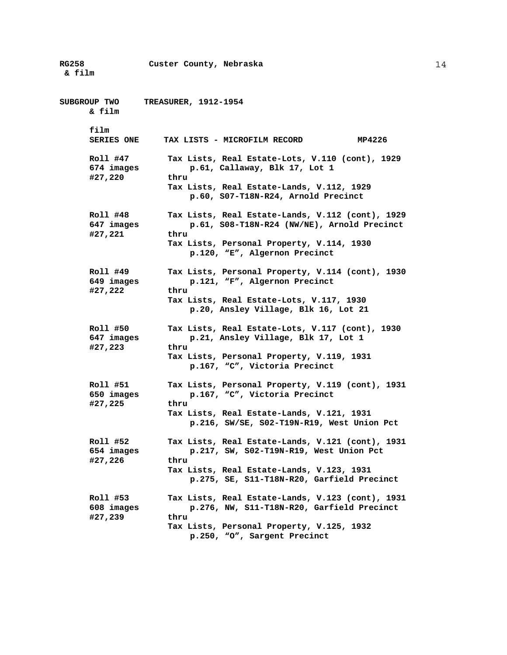**RG258 Custer County, Nebraska & film SUBGROUP TWO TREASURER, 1912-1954 & film film SERIES ONE TAX LISTS - MICROFILM RECORD MP4226 Roll #47 Tax Lists, Real Estate-Lots, V.110 (cont), 1929 674 images p.61, Callaway, Blk 17, Lot 1 #27,220 thru Tax Lists, Real Estate-Lands, V.112, 1929 p.60, S07-T18N-R24, Arnold Precinct Roll #48 Tax Lists, Real Estate-Lands, V.112 (cont), 1929 647 images p.61, S08-T18N-R24 (NW/NE), Arnold Precinct #27,221 thru Tax Lists, Personal Property, V.114, 1930 p.120, "E", Algernon Precinct Roll #49 Tax Lists, Personal Property, V.114 (cont), 1930 649 images p.121, "F", Algernon Precinct #27,222 thru Tax Lists, Real Estate-Lots, V.117, 1930 p.20, Ansley Village, Blk 16, Lot 21 Roll #50 Tax Lists, Real Estate-Lots, V.117 (cont), 1930 647 images p.21, Ansley Village, Blk 17, Lot 1 #27,223 thru Tax Lists, Personal Property, V.119, 1931 p.167, "C", Victoria Precinct Roll #51 Tax Lists, Personal Property, V.119 (cont), 1931 650 images p.167, "C", Victoria Precinct #27,225 thru Tax Lists, Real Estate-Lands, V.121, 1931 p.216, SW/SE, S02-T19N-R19, West Union Pct Roll #52 Tax Lists, Real Estate-Lands, V.121 (cont), 1931 654 images p.217, SW, S02-T19N-R19, West Union Pct #27,226 thru Tax Lists, Real Estate-Lands, V.123, 1931 p.275, SE, S11-T18N-R20, Garfield Precinct Roll #53 Tax Lists, Real Estate-Lands, V.123 (cont), 1931 608 images p.276, NW, S11-T18N-R20, Garfield Precinct #27,239 thru Tax Lists, Personal Property, V.125, 1932 p.250, "O", Sargent Precinct**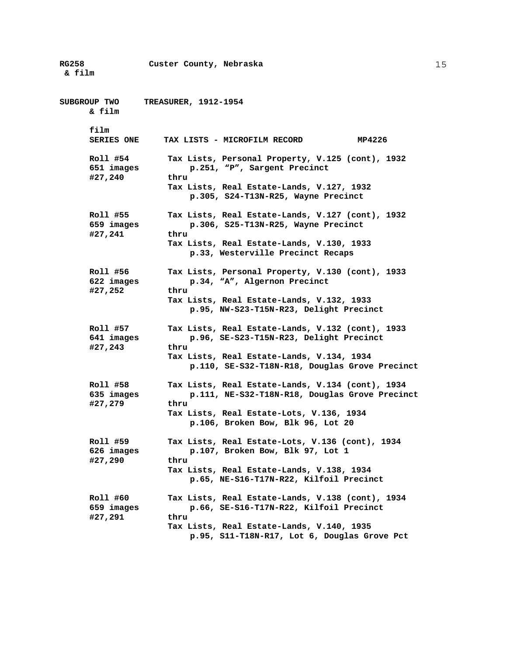**RG258 Custer County, Nebraska & film SUBGROUP TWO TREASURER, 1912-1954 & film film SERIES ONE TAX LISTS - MICROFILM RECORD MP4226 Roll #54 Tax Lists, Personal Property, V.125 (cont), 1932 651 images p.251, "P", Sargent Precinct #27,240 thru Tax Lists, Real Estate-Lands, V.127, 1932 p.305, S24-T13N-R25, Wayne Precinct Roll #55 Tax Lists, Real Estate-Lands, V.127 (cont), 1932 659 images p.306, S25-T13N-R25, Wayne Precinct #27,241 thru Tax Lists, Real Estate-Lands, V.130, 1933 p.33, Westerville Precinct Recaps Roll #56 Tax Lists, Personal Property, V.130 (cont), 1933 622 images p.34, "A", Algernon Precinct #27,252 thru Tax Lists, Real Estate-Lands, V.132, 1933 p.95, NW-S23-T15N-R23, Delight Precinct Roll #57 Tax Lists, Real Estate-Lands, V.132 (cont), 1933 641 images p.96, SE-S23-T15N-R23, Delight Precinct #27,243 thru Tax Lists, Real Estate-Lands, V.134, 1934 p.110, SE-S32-T18N-R18, Douglas Grove Precinct Roll #58 Tax Lists, Real Estate-Lands, V.134 (cont), 1934 635 images p.111, NE-S32-T18N-R18, Douglas Grove Precinct #27,279 thru Tax Lists, Real Estate-Lots, V.136, 1934 p.106, Broken Bow, Blk 96, Lot 20 Roll #59 Tax Lists, Real Estate-Lots, V.136 (cont), 1934 626 images p.107, Broken Bow, Blk 97, Lot 1 #27,290 thru Tax Lists, Real Estate-Lands, V.138, 1934 p.65, NE-S16-T17N-R22, Kilfoil Precinct Roll #60 Tax Lists, Real Estate-Lands, V.138 (cont), 1934 659 images p.66, SE-S16-T17N-R22, Kilfoil Precinct #27,291 thru Tax Lists, Real Estate-Lands, V.140, 1935 p.95, S11-T18N-R17, Lot 6, Douglas Grove Pct**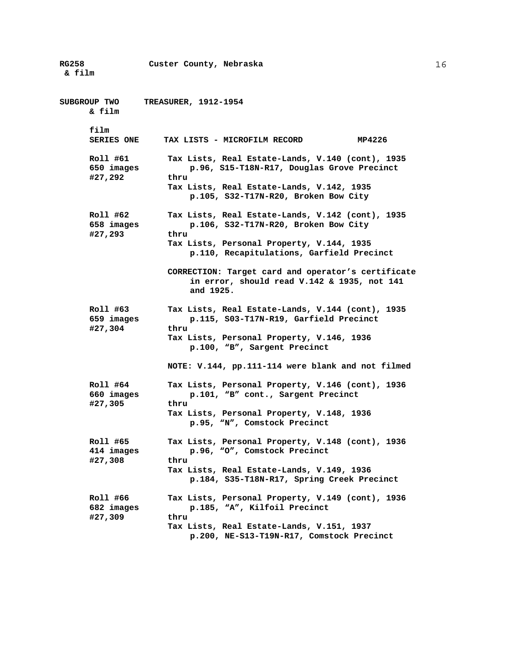**RG258 Custer County, Nebraska & film SUBGROUP TWO TREASURER, 1912-1954 & film film SERIES ONE TAX LISTS - MICROFILM RECORD MP4226 Roll #61 Tax Lists, Real Estate-Lands, V.140 (cont), 1935 650 images p.96, S15-T18N-R17, Douglas Grove Precinct #27,292 thru Tax Lists, Real Estate-Lands, V.142, 1935 p.105, S32-T17N-R20, Broken Bow City Roll #62 Tax Lists, Real Estate-Lands, V.142 (cont), 1935 658 images p.106, S32-T17N-R20, Broken Bow City #27,293 thru Tax Lists, Personal Property, V.144, 1935 p.110, Recapitulations, Garfield Precinct CORRECTION: Target card and operator's certificate in error, should read V.142 & 1935, not 141 and 1925. Roll #63 Tax Lists, Real Estate-Lands, V.144 (cont), 1935 659 images p.115, S03-T17N-R19, Garfield Precinct #27,304 thru Tax Lists, Personal Property, V.146, 1936 p.100, "B", Sargent Precinct NOTE: V.144, pp.111-114 were blank and not filmed Roll #64 Tax Lists, Personal Property, V.146 (cont), 1936 660 images p.101, "B" cont., Sargent Precinct #27,305 thru Tax Lists, Personal Property, V.148, 1936 p.95, "N", Comstock Precinct Roll #65 Tax Lists, Personal Property, V.148 (cont), 1936 414 images p.96, "O", Comstock Precinct #27,308 thru Tax Lists, Real Estate-Lands, V.149, 1936 p.184, S35-T18N-R17, Spring Creek Precinct Roll #66 Tax Lists, Personal Property, V.149 (cont), 1936 682 images p.185, "A", Kilfoil Precinct #27,309 thru Tax Lists, Real Estate-Lands, V.151, 1937 p.200, NE-S13-T19N-R17, Comstock Precinct**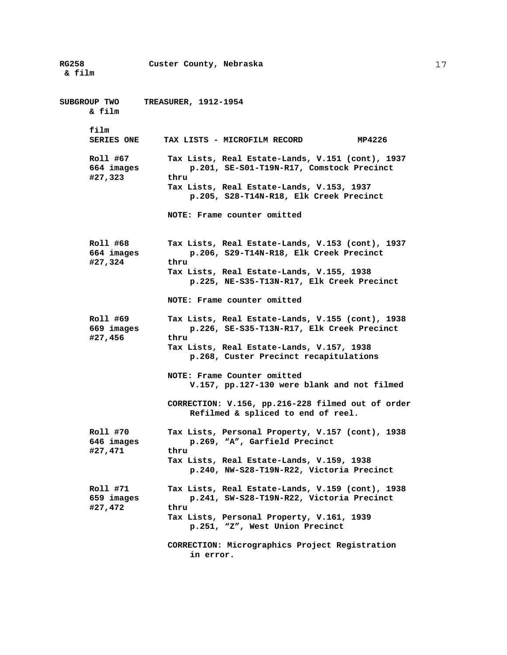**RG258 Custer County, Nebraska & film SUBGROUP TWO TREASURER, 1912-1954 & film film SERIES ONE TAX LISTS - MICROFILM RECORD MP4226 Roll #67 Tax Lists, Real Estate-Lands, V.151 (cont), 1937 664 images p.201, SE-S01-T19N-R17, Comstock Precinct #27,323 thru Tax Lists, Real Estate-Lands, V.153, 1937 p.205, S28-T14N-R18, Elk Creek Precinct NOTE: Frame counter omitted Roll #68 Tax Lists, Real Estate-Lands, V.153 (cont), 1937 664 images p.206, S29-T14N-R18, Elk Creek Precinct #27,324 thru Tax Lists, Real Estate-Lands, V.155, 1938 p.225, NE-S35-T13N-R17, Elk Creek Precinct NOTE: Frame counter omitted Roll #69 Tax Lists, Real Estate-Lands, V.155 (cont), 1938 669 images p.226, SE-S35-T13N-R17, Elk Creek Precinct #27,456 thru Tax Lists, Real Estate-Lands, V.157, 1938 p.268, Custer Precinct recapitulations NOTE: Frame Counter omitted V.157, pp.127-130 were blank and not filmed CORRECTION: V.156, pp.216-228 filmed out of order Refilmed & spliced to end of reel. Roll #70 Tax Lists, Personal Property, V.157 (cont), 1938 646 images p.269, "A", Garfield Precinct #27,471 thru Tax Lists, Real Estate-Lands, V.159, 1938 p.240, NW-S28-T19N-R22, Victoria Precinct Roll #71 Tax Lists, Real Estate-Lands, V.159 (cont), 1938 659 images p.241, SW-S28-T19N-R22, Victoria Precinct #27,472 thru Tax Lists, Personal Property, V.161, 1939 p.251, "Z", West Union Precinct CORRECTION: Micrographics Project Registration in error.**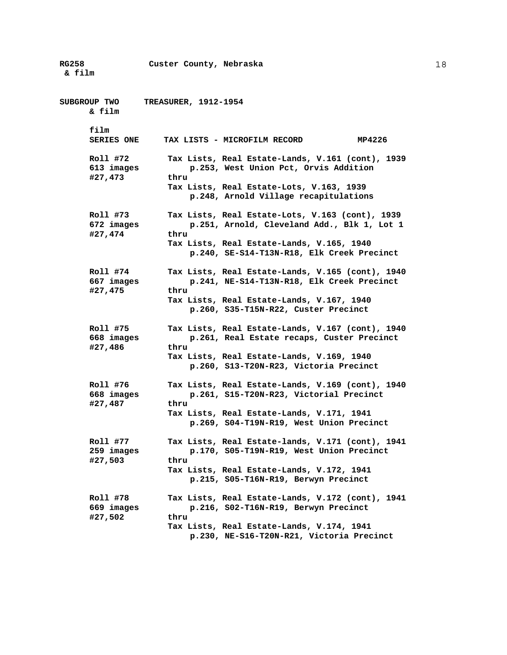**RG258 Custer County, Nebraska & film SUBGROUP TWO TREASURER, 1912-1954 & film film SERIES ONE TAX LISTS - MICROFILM RECORD MP4226 Roll #72 Tax Lists, Real Estate-Lands, V.161 (cont), 1939 613 images p.253, West Union Pct, Orvis Addition #27,473 thru Tax Lists, Real Estate-Lots, V.163, 1939 p.248, Arnold Village recapitulations Roll #73 Tax Lists, Real Estate-Lots, V.163 (cont), 1939 672 images p.251, Arnold, Cleveland Add., Blk 1, Lot 1 #27,474 thru Tax Lists, Real Estate-Lands, V.165, 1940 p.240, SE-S14-T13N-R18, Elk Creek Precinct Roll #74 Tax Lists, Real Estate-Lands, V.165 (cont), 1940 667 images p.241, NE-S14-T13N-R18, Elk Creek Precinct #27,475 thru Tax Lists, Real Estate-Lands, V.167, 1940 p.260, S35-T15N-R22, Custer Precinct Roll #75 Tax Lists, Real Estate-Lands, V.167 (cont), 1940 668 images p.261, Real Estate recaps, Custer Precinct #27,486 thru Tax Lists, Real Estate-Lands, V.169, 1940 p.260, S13-T20N-R23, Victoria Precinct Roll #76 Tax Lists, Real Estate-Lands, V.169 (cont), 1940 668 images p.261, S15-T20N-R23, Victorial Precinct #27,487 thru Tax Lists, Real Estate-Lands, V.171, 1941 p.269, S04-T19N-R19, West Union Precinct Roll #77 Tax Lists, Real Estate-lands, V.171 (cont), 1941 259 images p.170, S05-T19N-R19, West Union Precinct #27,503 thru Tax Lists, Real Estate-Lands, V.172, 1941 p.215, S05-T16N-R19, Berwyn Precinct Roll #78 Tax Lists, Real Estate-Lands, V.172 (cont), 1941 669 images p.216, S02-T16N-R19, Berwyn Precinct #27,502 thru Tax Lists, Real Estate-Lands, V.174, 1941 p.230, NE-S16-T20N-R21, Victoria Precinct**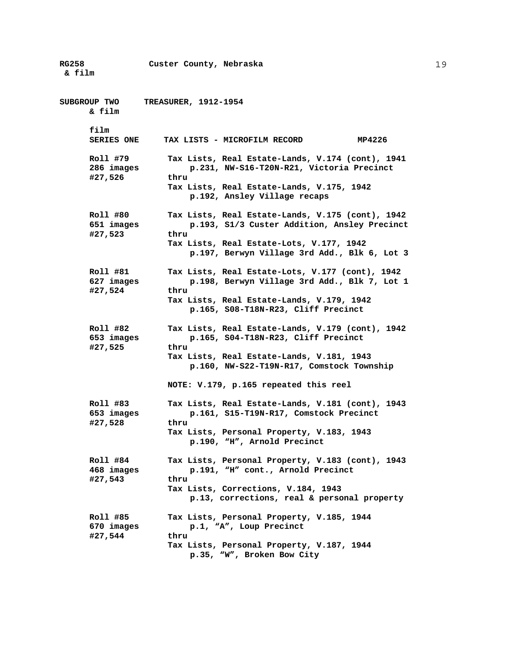**RG258 Custer County, Nebraska & film SUBGROUP TWO TREASURER, 1912-1954 & film film SERIES ONE TAX LISTS - MICROFILM RECORD MP4226 Roll #79 Tax Lists, Real Estate-Lands, V.174 (cont), 1941 286 images p.231, NW-S16-T20N-R21, Victoria Precinct #27,526 thru Tax Lists, Real Estate-Lands, V.175, 1942 p.192, Ansley Village recaps Roll #80 Tax Lists, Real Estate-Lands, V.175 (cont), 1942 651 images p.193, S1/3 Custer Addition, Ansley Precinct #27,523 thru Tax Lists, Real Estate-Lots, V.177, 1942 p.197, Berwyn Village 3rd Add., Blk 6, Lot 3 Roll #81 Tax Lists, Real Estate-Lots, V.177 (cont), 1942 627 images p.198, Berwyn Village 3rd Add., Blk 7, Lot 1 #27,524 thru Tax Lists, Real Estate-Lands, V.179, 1942 p.165, S08-T18N-R23, Cliff Precinct Roll #82 Tax Lists, Real Estate-Lands, V.179 (cont), 1942 653 images p.165, S04-T18N-R23, Cliff Precinct #27,525 thru Tax Lists, Real Estate-Lands, V.181, 1943 p.160, NW-S22-T19N-R17, Comstock Township NOTE: V.179, p.165 repeated this reel Roll #83 Tax Lists, Real Estate-Lands, V.181 (cont), 1943 653 images p.161, S15-T19N-R17, Comstock Precinct #27,528 thru Tax Lists, Personal Property, V.183, 1943 p.190, "H", Arnold Precinct Roll #84 Tax Lists, Personal Property, V.183 (cont), 1943 468 images p.191, "H" cont., Arnold Precinct #27,543 thru Tax Lists, Corrections, V.184, 1943 p.13, corrections, real & personal property Roll #85 Tax Lists, Personal Property, V.185, 1944 670 images p.1, "A", Loup Precinct #27,544 thru Tax Lists, Personal Property, V.187, 1944 p.35, "W", Broken Bow City**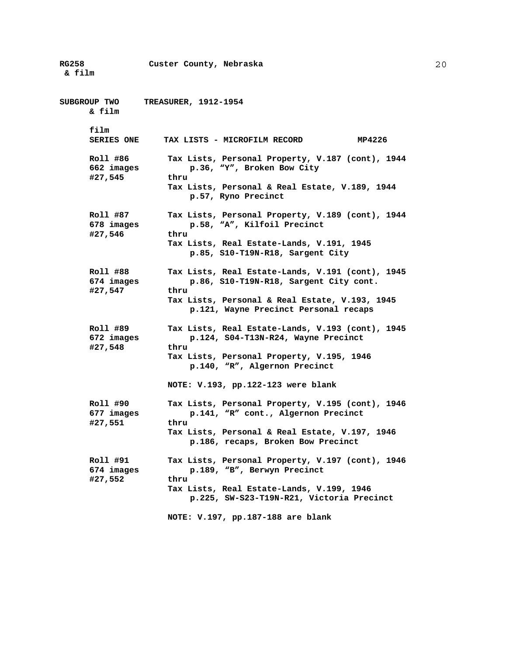**RG258 Custer County, Nebraska & film SUBGROUP TWO TREASURER, 1912-1954 & film film SERIES ONE TAX LISTS - MICROFILM RECORD MP4226 Roll #86 Tax Lists, Personal Property, V.187 (cont), 1944 662 images p.36, "Y", Broken Bow City #27,545 thru Tax Lists, Personal & Real Estate, V.189, 1944 p.57, Ryno Precinct Roll #87 Tax Lists, Personal Property, V.189 (cont), 1944 678 images p.58, "A", Kilfoil Precinct #27,546 thru Tax Lists, Real Estate-Lands, V.191, 1945 p.85, S10-T19N-R18, Sargent City Roll #88 Tax Lists, Real Estate-Lands, V.191 (cont), 1945 674 images p.86, S10-T19N-R18, Sargent City cont. #27,547 thru Tax Lists, Personal & Real Estate, V.193, 1945 p.121, Wayne Precinct Personal recaps Roll #89 Tax Lists, Real Estate-Lands, V.193 (cont), 1945 672 images p.124, S04-T13N-R24, Wayne Precinct #27,548 thru Tax Lists, Personal Property, V.195, 1946 p.140, "R", Algernon Precinct NOTE: V.193, pp.122-123 were blank Roll #90 Tax Lists, Personal Property, V.195 (cont), 1946 677 images p.141, "R" cont., Algernon Precinct #27,551 thru Tax Lists, Personal & Real Estate, V.197, 1946 p.186, recaps, Broken Bow Precinct Roll #91 Tax Lists, Personal Property, V.197 (cont), 1946 674 images p.189, "B", Berwyn Precinct #27,552 thru Tax Lists, Real Estate-Lands, V.199, 1946 p.225, SW-S23-T19N-R21, Victoria Precinct NOTE: V.197, pp.187-188 are blank**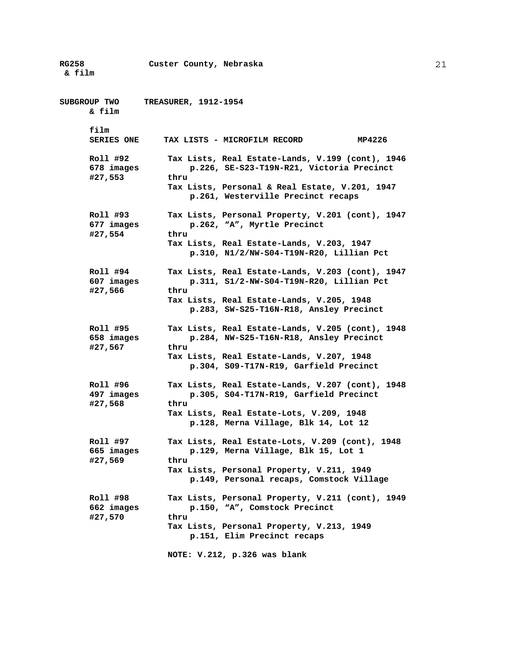**RG258 Custer County, Nebraska & film SUBGROUP TWO TREASURER, 1912-1954 & film film SERIES ONE TAX LISTS - MICROFILM RECORD MP4226 Roll #92 Tax Lists, Real Estate-Lands, V.199 (cont), 1946 678 images p.226, SE-S23-T19N-R21, Victoria Precinct #27,553 thru Tax Lists, Personal & Real Estate, V.201, 1947 p.261, Westerville Precinct recaps Roll #93 Tax Lists, Personal Property, V.201 (cont), 1947 677 images p.262, "A", Myrtle Precinct #27,554 thru Tax Lists, Real Estate-Lands, V.203, 1947 p.310, N1/2/NW-S04-T19N-R20, Lillian Pct Roll #94 Tax Lists, Real Estate-Lands, V.203 (cont), 1947 607 images p.311, S1/2-NW-S04-T19N-R20, Lillian Pct #27,566 thru Tax Lists, Real Estate-Lands, V.205, 1948 p.283, SW-S25-T16N-R18, Ansley Precinct Roll #95 Tax Lists, Real Estate-Lands, V.205 (cont), 1948 658 images p.284, NW-S25-T16N-R18, Ansley Precinct #27,567 thru Tax Lists, Real Estate-Lands, V.207, 1948 p.304, S09-T17N-R19, Garfield Precinct Roll #96 Tax Lists, Real Estate-Lands, V.207 (cont), 1948 497 images p.305, S04-T17N-R19, Garfield Precinct #27,568 thru Tax Lists, Real Estate-Lots, V.209, 1948 p.128, Merna Village, Blk 14, Lot 12 Roll #97 Tax Lists, Real Estate-Lots, V.209 (cont), 1948 665 images p.129, Merna Village, Blk 15, Lot 1 #27,569 thru Tax Lists, Personal Property, V.211, 1949 p.149, Personal recaps, Comstock Village Roll #98 Tax Lists, Personal Property, V.211 (cont), 1949 662 images p.150, "A", Comstock Precinct #27,570 thru Tax Lists, Personal Property, V.213, 1949 p.151, Elim Precinct recaps NOTE: V.212, p.326 was blank**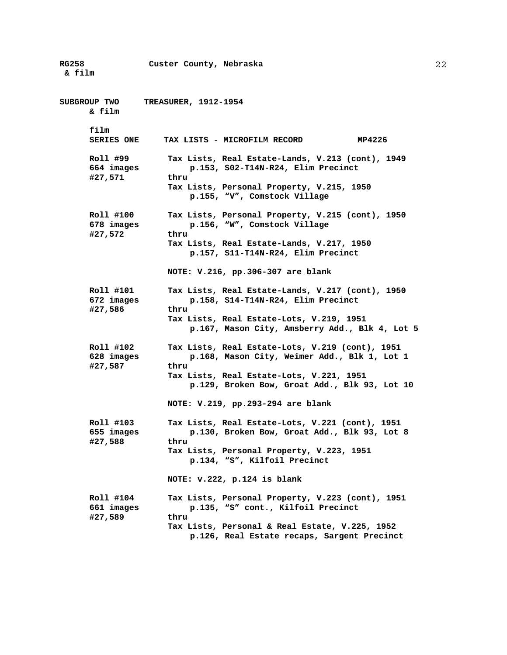**RG258 Custer County, Nebraska & film SUBGROUP TWO TREASURER, 1912-1954 & film film SERIES ONE TAX LISTS - MICROFILM RECORD MP4226 Roll #99 Tax Lists, Real Estate-Lands, V.213 (cont), 1949 664 images p.153, S02-T14N-R24, Elim Precinct #27,571 thru Tax Lists, Personal Property, V.215, 1950 p.155, "V", Comstock Village Roll #100 Tax Lists, Personal Property, V.215 (cont), 1950 678 images p.156, "W", Comstock Village #27,572 thru Tax Lists, Real Estate-Lands, V.217, 1950 p.157, S11-T14N-R24, Elim Precinct NOTE: V.216, pp.306-307 are blank Roll #101 Tax Lists, Real Estate-Lands, V.217 (cont), 1950 672 images p.158, S14-T14N-R24, Elim Precinct #27,586 thru Tax Lists, Real Estate-Lots, V.219, 1951 p.167, Mason City, Amsberry Add., Blk 4, Lot 5 Roll #102 Tax Lists, Real Estate-Lots, V.219 (cont), 1951 628 images p.168, Mason City, Weimer Add., Blk 1, Lot 1 #27,587 thru Tax Lists, Real Estate-Lots, V.221, 1951 p.129, Broken Bow, Groat Add., Blk 93, Lot 10 NOTE: V.219, pp.293-294 are blank Roll #103 Tax Lists, Real Estate-Lots, V.221 (cont), 1951 655 images p.130, Broken Bow, Groat Add., Blk 93, Lot 8 #27,588 thru Tax Lists, Personal Property, V.223, 1951 p.134, "S", Kilfoil Precinct NOTE: v.222, p.124 is blank Roll #104 Tax Lists, Personal Property, V.223 (cont), 1951 661 images p.135, "S" cont., Kilfoil Precinct #27,589 thru Tax Lists, Personal & Real Estate, V.225, 1952 p.126, Real Estate recaps, Sargent Precinct**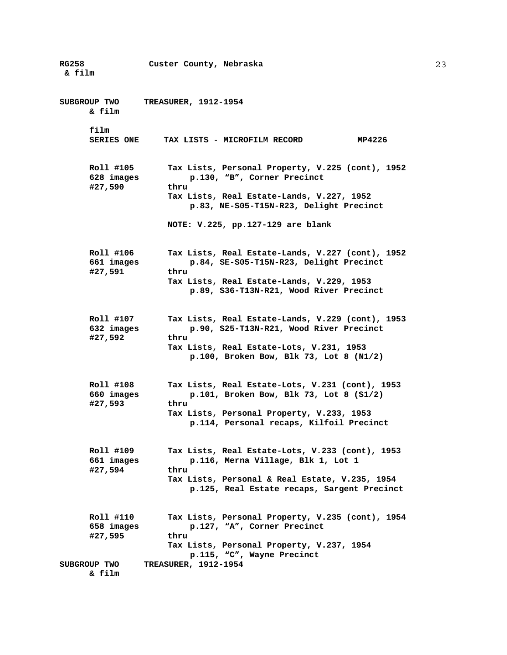| <b>RG258</b><br>& film                             | Custer County, Nebraska                                                                                                                                                                           |
|----------------------------------------------------|---------------------------------------------------------------------------------------------------------------------------------------------------------------------------------------------------|
| SUBGROUP TWO<br>& film                             | <b>TREASURER, 1912-1954</b>                                                                                                                                                                       |
| film<br><b>SERIES ONE</b>                          | MP4226<br>TAX LISTS - MICROFILM RECORD                                                                                                                                                            |
| Roll #105<br>628 images<br>#27,590                 | Tax Lists, Personal Property, V.225 (cont), 1952<br>p.130, "B", Corner Precinct<br>thru<br>Tax Lists, Real Estate-Lands, V.227, 1952<br>p.83, NE-S05-T15N-R23, Delight Precinct                   |
|                                                    | NOTE: V.225, pp.127-129 are blank                                                                                                                                                                 |
| Roll #106<br>661 images<br>#27,591                 | Tax Lists, Real Estate-Lands, V.227 (cont), 1952<br>p.84, SE-S05-T15N-R23, Delight Precinct<br>thru<br>Tax Lists, Real Estate-Lands, V.229, 1953<br>p.89, S36-T13N-R21, Wood River Precinct       |
| Roll #107<br>632 images<br>#27,592                 | Tax Lists, Real Estate-Lands, V.229 (cont), 1953<br>p.90, S25-T13N-R21, Wood River Precinct<br>thru<br>Tax Lists, Real Estate-Lots, V.231, 1953<br>p.100, Broken Bow, Blk 73, Lot 8 $(N1/2)$      |
| Roll #108<br>660 images<br>#27,593                 | Tax Lists, Real Estate-Lots, V.231 (cont), 1953<br>p.101, Broken Bow, Blk 73, Lot 8 $(S1/2)$<br>thru<br>Tax Lists, Personal Property, V.233, 1953<br>p.114, Personal recaps, Kilfoil Precinct     |
| Roll #109<br>661 images<br>#27,594                 | Tax Lists, Real Estate-Lots, V.233 (cont), 1953<br>p.116, Merna Village, Blk 1, Lot 1<br>thru<br>Tax Lists, Personal & Real Estate, V.235, 1954<br>p.125, Real Estate recaps, Sargent Precinct    |
| Roll #110<br>658 images<br>#27,595<br>SUBGROUP TWO | Tax Lists, Personal Property, V.235 (cont), 1954<br>p.127, "A", Corner Precinct<br>thru<br>Tax Lists, Personal Property, V.237, 1954<br>p.115, "C", Wayne Precinct<br><b>TREASURER, 1912-1954</b> |
| & film                                             |                                                                                                                                                                                                   |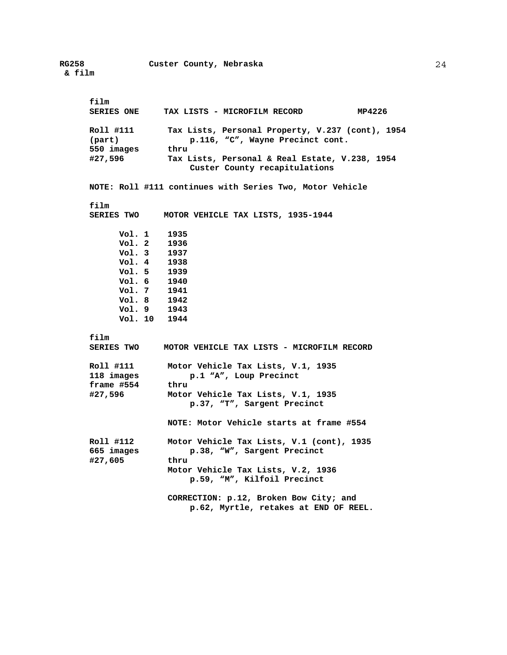**film SERIES ONE TAX LISTS - MICROFILM RECORD MP4226 Roll #111 Tax Lists, Personal Property, V.237 (cont), 1954 (part) p.116, "C", Wayne Precinct cont.**  550 images **#27,596 Tax Lists, Personal & Real Estate, V.238, 1954 Custer County recapitulations NOTE: Roll #111 continues with Series Two, Motor Vehicle film MOTOR VEHICLE TAX LISTS, 1935-1944 Vol. 1 1935 Vol. 2 1936 Vol. 3 1937 Vol. 4 1938 Vol. 5 1939 Vol. 6 1940 Vol. 7 1941 Vol. 8 1942 Vol. 9 1943 Vol. 10 1944 film SERIES TWO MOTOR VEHICLE TAX LISTS - MICROFILM RECORD Roll #111 Motor Vehicle Tax Lists, V.1, 1935 118 images p.1 "A", Loup Precinct frame #554 thru #27,596 Motor Vehicle Tax Lists, V.1, 1935 p.37, "T", Sargent Precinct NOTE: Motor Vehicle starts at frame #554 Roll #112 Motor Vehicle Tax Lists, V.1 (cont), 1935 665 images p.38, "W", Sargent Precinct #27,605 thru Motor Vehicle Tax Lists, V.2, 1936 p.59, "M", Kilfoil Precinct CORRECTION: p.12, Broken Bow City; and p.62, Myrtle, retakes at END OF REEL.**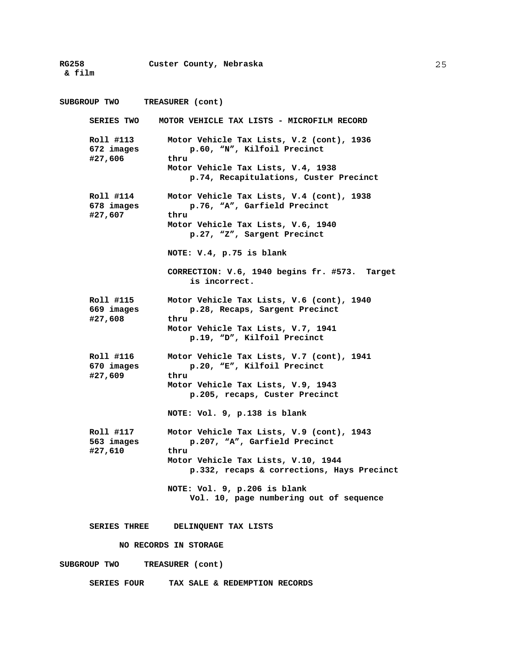**& film** 

#### **RG258 Custer County, Nebraska**

**SUBGROUP TWO TREASURER (cont) SERIES TWO MOTOR VEHICLE TAX LISTS - MICROFILM RECORD Roll #113 Motor Vehicle Tax Lists, V.2 (cont), 1936 672 images p.60, "N", Kilfoil Precinct #27,606 thru Motor Vehicle Tax Lists, V.4, 1938 p.74, Recapitulations, Custer Precinct Roll #114 Motor Vehicle Tax Lists, V.4 (cont), 1938 678 images p.76, "A", Garfield Precinct #27,607 thru Motor Vehicle Tax Lists, V.6, 1940 p.27, "Z", Sargent Precinct NOTE: V.4, p.75 is blank CORRECTION: V.6, 1940 begins fr. #573. Target is incorrect. Roll #115 Motor Vehicle Tax Lists, V.6 (cont), 1940 669 images p.28, Recaps, Sargent Precinct #27,608 thru Motor Vehicle Tax Lists, V.7, 1941 p.19, "D", Kilfoil Precinct Roll #116 Motor Vehicle Tax Lists, V.7 (cont), 1941 670 images p.20, "E", Kilfoil Precinct #27,609 thru Motor Vehicle Tax Lists, V.9, 1943 p.205, recaps, Custer Precinct NOTE: Vol. 9, p.138 is blank Roll #117 Motor Vehicle Tax Lists, V.9 (cont), 1943 563 images p.207, "A", Garfield Precinct #27,610 thru Motor Vehicle Tax Lists, V.10, 1944 p.332, recaps & corrections, Hays Precinct NOTE: Vol. 9, p.206 is blank Vol. 10, page numbering out of sequence SERIES THREE DELINQUENT TAX LISTS NO RECORDS IN STORAGE SUBGROUP TWO TREASURER (cont)** 

 **SERIES FOUR TAX SALE & REDEMPTION RECORDS**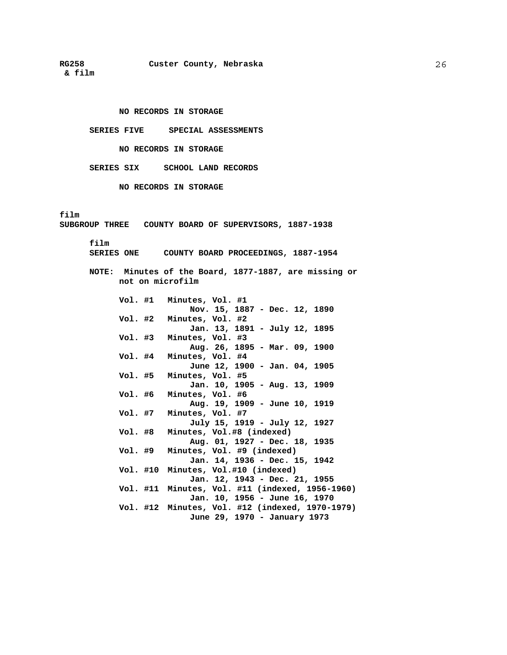**& film** 

#### **NO RECORDS IN STORAGE**

**SERIES FIVE SPECIAL ASSESSMENTS** 

# **NO RECORDS IN STORAGE**

**SERIES SIX SCHOOL LAND RECORDS** 

**NO RECORDS IN STORAGE** 

## **film**

**SUBGROUP THREE COUNTY BOARD OF SUPERVISORS, 1887-1938** 

## **film**

 **SERIES ONE COUNTY BOARD PROCEEDINGS, 1887-1954** 

**NOTE: Minutes of the Board, 1877-1887, are missing or not on microfilm** 

|         | Vol. #1 Minutes, Vol. #1                                             |
|---------|----------------------------------------------------------------------|
|         | Nov. 15, 1887 - Dec. 12, 1890                                        |
|         | Vol. #2 Minutes, Vol. #2                                             |
|         | Jan. 13, 1891 - July 12, 1895                                        |
| Vol. #3 | Minutes, Vol. #3                                                     |
|         | Aug. 26, 1895 - Mar. 09, 1900                                        |
| Vol. #4 | Minutes, Vol. #4                                                     |
|         | June 12, 1900 - Jan. 04, 1905                                        |
| Vol. #5 | Minutes, Vol. #5                                                     |
|         | Jan. 10, 1905 - Aug. 13, 1909                                        |
| Vol. #6 | Minutes, Vol. #6                                                     |
|         | Aug. 19, 1909 - June 10, 1919                                        |
| Vol. #7 | Minutes, Vol. #7                                                     |
|         | July 15, 1919 - July 12, 1927                                        |
| Vol. #8 | Minutes, Vol.#8 (indexed)                                            |
|         | Aug. 01, 1927 - Dec. 18, 1935                                        |
|         | Vol. #9 Minutes, Vol. #9 (indexed)                                   |
|         | Jan. 14, 1936 - Dec. 15, 1942<br>Vol. #10 Minutes, Vol.#10 (indexed) |
|         | Jan. 12, 1943 - Dec. 21, 1955                                        |
|         | Vol. #11 Minutes, Vol. #11 (indexed, 1956-1960)                      |
|         | Jan. 10, 1956 - June 16, 1970                                        |
|         | Vol. #12 Minutes, Vol. #12 (indexed, 1970-1979)                      |
|         | June 29, 1970 - January 1973                                         |
|         |                                                                      |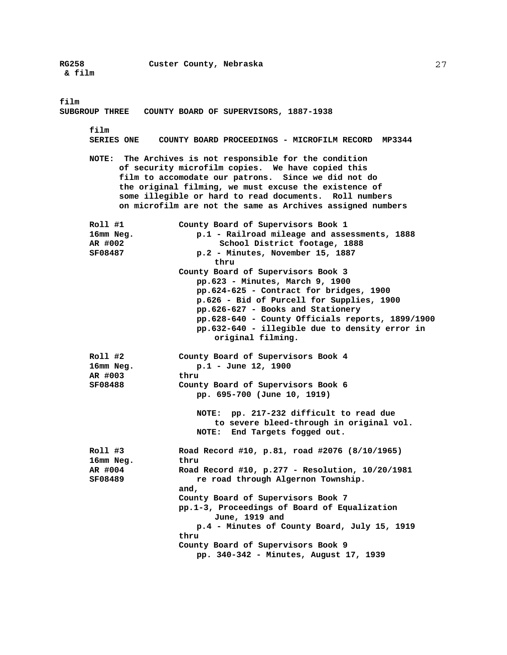**film** 

**SUBGROUP THREE COUNTY BOARD OF SUPERVISORS, 1887-1938 film SERIES ONE COUNTY BOARD PROCEEDINGS - MICROFILM RECORD MP3344 NOTE: The Archives is not responsible for the condition of security microfilm copies. We have copied this film to accomodate our patrons. Since we did not do the original filming, we must excuse the existence of some illegible or hard to read documents. Roll numbers on microfilm are not the same as Archives assigned numbers Roll #1 County Board of Supervisors Book 1 16mm Neg. p.1 - Railroad mileage and assessments, 1888 AR #002 School District footage, 1888 SF08487 p.2 - Minutes, November 15, 1887 thru County Board of Supervisors Book 3 pp.623 - Minutes, March 9, 1900 pp.624-625 - Contract for bridges, 1900 p.626 - Bid of Purcell for Supplies, 1900 pp.626-627 - Books and Stationery pp.628-640 - County Officials reports, 1899/1900 pp.632-640 - illegible due to density error in original filming. Roll #2 County Board of Supervisors Book 4 16mm Neg. p.1 - June 12, 1900 AR #003 thru** 

**SF08488 County Board of Supervisors Book 6 pp. 695-700 (June 10, 1919)** 

> **NOTE: pp. 217-232 difficult to read due to severe bleed-through in original vol. NOTE: End Targets fogged out.**

**Roll #3 Road Record #10, p.81, road #2076 (8/10/1965) 16mm Neg. thru AR #004 Road Record #10, p.277 - Resolution, 10/20/1981 SF08489 re road through Algernon Township. and, County Board of Supervisors Book 7 pp.1-3, Proceedings of Board of Equalization June, 1919 and p.4 - Minutes of County Board, July 15, 1919 thru County Board of Supervisors Book 9 pp. 340-342 - Minutes, August 17, 1939**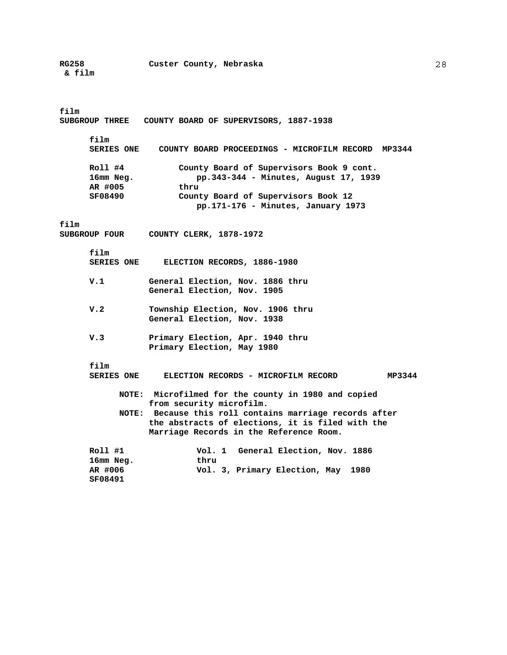# **film**

**SUBGROUP THREE COUNTY BOARD OF SUPERVISORS, 1887-1938** 

**film** 

| <b>SERIES ONE</b> | COUNTY BOARD PROCEEDINGS - MICROFILM RECORD MP3344 |
|-------------------|----------------------------------------------------|
| Roll #4           | County Board of Supervisors Book 9 cont.           |
| 16mm Neg.         | pp.343-344 - Minutes, August 17, 1939              |
| AR #005           | thru                                               |
| SF08490           | County Board of Supervisors Book 12                |
|                   | pp.171-176 - Minutes, January 1973                 |

#### **film**

**SUBGROUP FOUR COUNTY CLERK, 1878-1972** 

 **film** 

| <b>SERIES ONE</b> | ELECTION RECORDS, 1886-1980 |  |
|-------------------|-----------------------------|--|
|-------------------|-----------------------------|--|

- **V.1 General Election, Nov. 1886 thru General Election, Nov. 1905**
- **V.2 Township Election, Nov. 1906 thru General Election, Nov. 1938**
- **V.3 Primary Election, Apr. 1940 thru Primary Election, May 1980**

**film** 

```
 SERIES ONE ELECTION RECORDS - MICROFILM RECORD MP3344 
     NOTE: Microfilmed for the county in 1980 and copied 
           from security microfilm. 
     NOTE: Because this roll contains marriage records after 
           the abstracts of elections, it is filed with the 
           Marriage Records in the Reference Room. 
Roll #1 Vol. 1 General Election, Nov. 1886 
16mm Neg. thru 
                    AR #006 Vol. 3, Primary Election, May 1980 
SF08491
```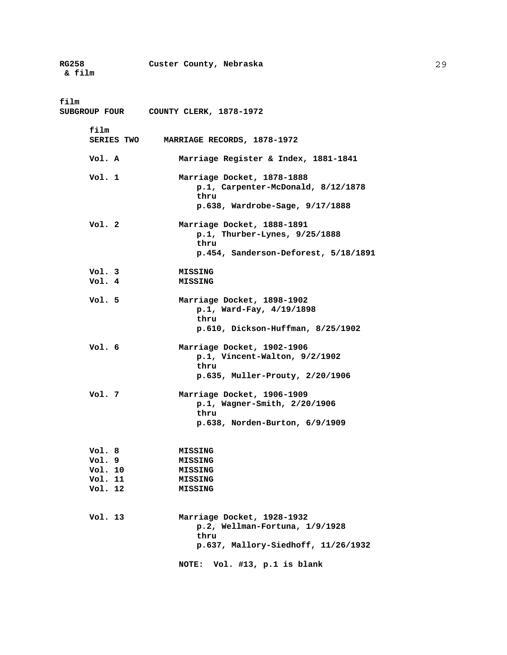| RG258<br>& film                                 | Custer County, Nebraska                                                                                          |
|-------------------------------------------------|------------------------------------------------------------------------------------------------------------------|
| film                                            | SUBGROUP FOUR COUNTY CLERK, 1878-1972                                                                            |
| film<br><b>SERIES TWO</b>                       | MARRIAGE RECORDS, 1878-1972                                                                                      |
| Vol. A                                          | Marriage Register & Index, 1881-1841                                                                             |
| Vol. 1                                          | Marriage Docket, 1878-1888<br>p.1, Carpenter-McDonald, 8/12/1878<br>thru<br>p.638, Wardrobe-Sage, 9/17/1888      |
| Vol. 2                                          | Marriage Docket, 1888-1891<br>$p.1$ , Thurber-Lynes, $9/25/1888$<br>thru<br>p.454, Sanderson-Deforest, 5/18/1891 |
|                                                 |                                                                                                                  |
| Vol. 3<br>Vol. 4                                | MISSING<br><b>MISSING</b>                                                                                        |
| Vol. 5                                          | Marriage Docket, 1898-1902<br>p.1, Ward-Fay, 4/19/1898<br>thru<br>$p.610$ , Dickson-Huffman, $8/25/1902$         |
| Vol. 6                                          | Marriage Docket, 1902-1906<br>$p.1$ , Vincent-Walton, $9/2/1902$<br>thru<br>p.635, Muller-Prouty, 2/20/1906      |
| Vol. 7                                          | Marriage Docket, 1906-1909<br>p.1, Wagner-Smith, 2/20/1906<br>thru<br>p.638, Norden-Burton, 6/9/1909             |
| Vol.8<br>Vol.9<br>Vol. 10<br>Vol. 11<br>Vol. 12 | <b>MISSING</b><br><b>MISSING</b><br><b>MISSING</b><br><b>MISSING</b><br><b>MISSING</b>                           |
| Vol. 13                                         | Marriage Docket, 1928-1932<br>p.2, Wellman-Fortuna, 1/9/1928<br>thru<br>p.637, Mallory-Siedhoff, 11/26/1932      |
|                                                 | Vol. #13, p.1 is blank<br><b>NOTE:</b>                                                                           |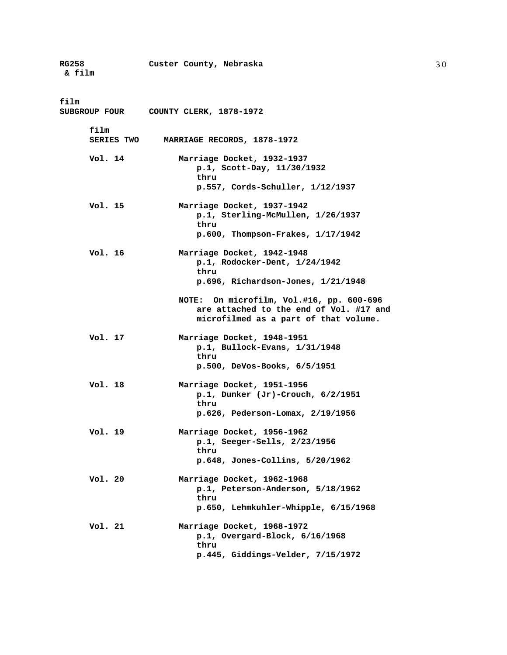| RG258<br>& film              | Custer County, Nebraska                                                                                                                |
|------------------------------|----------------------------------------------------------------------------------------------------------------------------------------|
| film<br><b>SUBGROUP FOUR</b> | COUNTY CLERK, 1878-1972                                                                                                                |
| film<br><b>SERIES TWO</b>    | MARRIAGE RECORDS, 1878-1972                                                                                                            |
| Vol. 14                      | Marriage Docket, 1932-1937<br>p.1, Scott-Day, 11/30/1932<br>thru<br>p.557, Cords-Schuller, 1/12/1937                                   |
| Vol. 15                      | Marriage Docket, 1937-1942<br>p.1, Sterling-McMullen, 1/26/1937<br>thru<br>$p.600$ , Thompson-Frakes, $1/17/1942$                      |
| Vol. 16                      | Marriage Docket, 1942-1948<br>p.1, Rodocker-Dent, 1/24/1942<br>thru<br>$p.696$ , Richardson-Jones, $1/21/1948$                         |
|                              | On microfilm, Vol.#16, pp. 600-696<br><b>NOTE:</b><br>are attached to the end of Vol. #17 and<br>microfilmed as a part of that volume. |
| Vol. 17                      | Marriage Docket, 1948-1951<br>$p.1$ , Bullock-Evans, $1/31/1948$<br>thru<br>p.500, DeVos-Books, 6/5/1951                               |
| Vol. 18                      | Marriage Docket, 1951-1956<br>p.1, Dunker $(Jr)$ -Crouch, $6/2/1951$<br>thru<br>p.626, Pederson-Lomax, 2/19/1956                       |
| Vol. 19                      | Marriage Docket, 1956-1962<br>$p.1$ , Seeger-Sells, $2/23/1956$<br>thru<br>p.648, Jones-Collins, 5/20/1962                             |
| Vol. 20                      | Marriage Docket, 1962-1968<br>p.1, Peterson-Anderson, 5/18/1962<br>thru<br>p.650, Lehmkuhler-Whipple, 6/15/1968                        |
| Vol. 21                      | Marriage Docket, 1968-1972<br>$p.1$ , Overgard-Block, $6/16/1968$<br>thru<br>p.445, Giddings-Velder, 7/15/1972                         |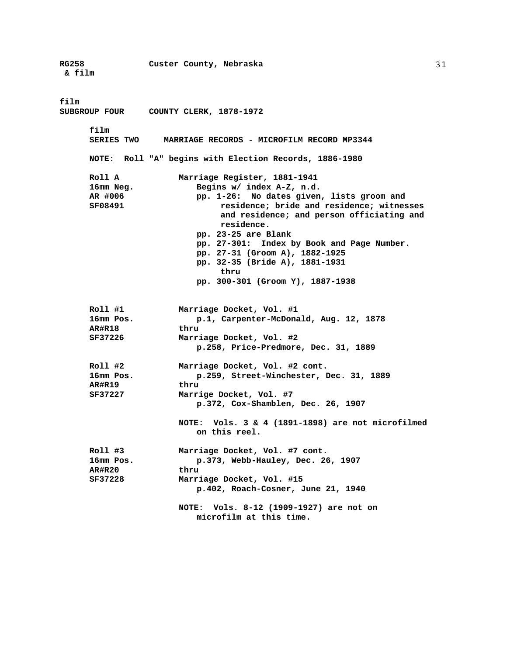**RG258 Custer County, Nebraska & film film SUBGROUP FOUR COUNTY CLERK, 1878-1972 film SERIES TWO MARRIAGE RECORDS - MICROFILM RECORD MP3344 NOTE: Roll "A" begins with Election Records, 1886-1980 Roll A Marriage Register, 1881-1941 16mm Neg. Begins w/ index A-Z, n.d. AR #006 pp. 1-26: No dates given, lists groom and SF08491 residence; bride and residence; witnesses and residence; and person officiating and residence. pp. 23-25 are Blank pp. 27-301: Index by Book and Page Number. pp. 27-31 (Groom A), 1882-1925 pp. 32-35 (Bride A), 1881-1931 thru pp. 300-301 (Groom Y), 1887-1938 Roll #1 Marriage Docket, Vol. #1 16mm Pos. p.1, Carpenter-McDonald, Aug. 12, 1878 AR#R18 thru SF37226 Marriage Docket, Vol. #2 p.258, Price-Predmore, Dec. 31, 1889 Roll #2 Marriage Docket, Vol. #2 cont. 16mm Pos. p.259, Street-Winchester, Dec. 31, 1889 AR#R19 thru SF37227 Marrige Docket, Vol. #7 p.372, Cox-Shamblen, Dec. 26, 1907 NOTE: Vols. 3 & 4 (1891-1898) are not microfilmed on this reel. Roll #3 Marriage Docket, Vol. #7 cont. 16mm Pos. p.373, Webb-Hauley, Dec. 26, 1907 AR#R20 thru SF37228 Marriage Docket, Vol. #15 p.402, Roach-Cosner, June 21, 1940 NOTE: Vols. 8-12 (1909-1927) are not on microfilm at this time.**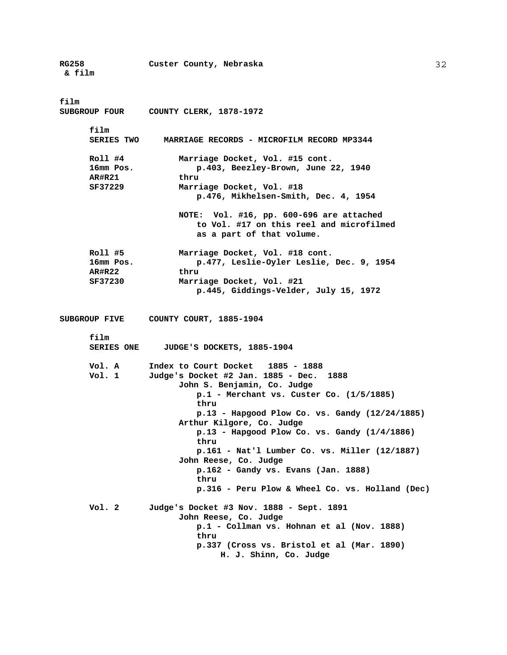**RG258 Custer County, Nebraska & film film SUBGROUP FOUR COUNTY CLERK, 1878-1972 film SERIES TWO MARRIAGE RECORDS - MICROFILM RECORD MP3344 Roll #4 Marriage Docket, Vol. #15 cont. 16mm Pos. p.403, Beezley-Brown, June 22, 1940 AR#R21 thru SF37229 Marriage Docket, Vol. #18 p.476, Mikhelsen-Smith, Dec. 4, 1954 NOTE: Vol. #16, pp. 600-696 are attached to Vol. #17 on this reel and microfilmed as a part of that volume. Roll #5 Marriage Docket, Vol. #18 cont. 16mm Pos. p.477, Leslie-Oyler Leslie, Dec. 9, 1954 AR#R22 thru SF37230 Marriage Docket, Vol. #21 p.445, Giddings-Velder, July 15, 1972 SUBGROUP FIVE COUNTY COURT, 1885-1904 film SERIES ONE JUDGE'S DOCKETS, 1885-1904 Vol. A Index to Court Docket 1885 - 1888 Vol. 1 Judge's Docket #2 Jan. 1885 - Dec. 1888 John S. Benjamin, Co. Judge p.1 - Merchant vs. Custer Co. (1/5/1885) thru p.13 - Hapgood Plow Co. vs. Gandy (12/24/1885) Arthur Kilgore, Co. Judge p.13 - Hapgood Plow Co. vs. Gandy (1/4/1886) thru p.161 - Nat'l Lumber Co. vs. Miller (12/1887) John Reese, Co. Judge p.162 - Gandy vs. Evans (Jan. 1888) thru p.316 - Peru Plow & Wheel Co. vs. Holland (Dec) Vol. 2 Judge's Docket #3 Nov. 1888 - Sept. 1891 John Reese, Co. Judge p.1 - Collman vs. Hohnan et al (Nov. 1888) thru p.337 (Cross vs. Bristol et al (Mar. 1890) H. J. Shinn, Co. Judge**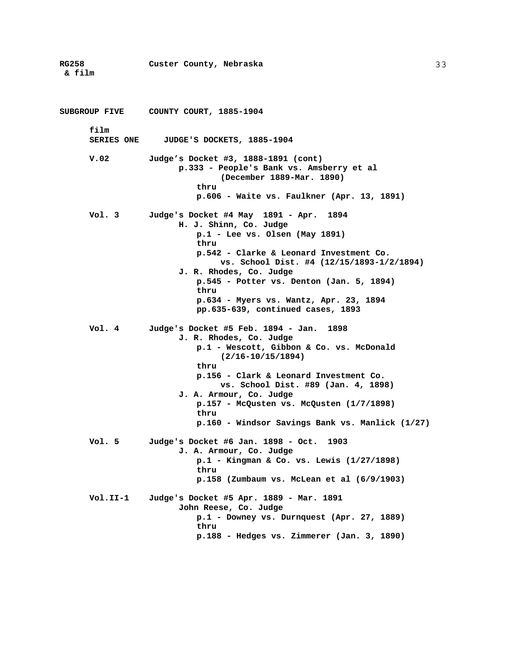**RG258 Custer County, Nebraska & film SUBGROUP FIVE COUNTY COURT, 1885-1904 film SERIES ONE JUDGE'S DOCKETS, 1885-1904 V.02 Judge's Docket #3, 1888-1891 (cont) p.333 - People's Bank vs. Amsberry et al (December 1889-Mar. 1890) thru p.606 - Waite vs. Faulkner (Apr. 13, 1891) Vol. 3 Judge's Docket #4 May 1891 - Apr. 1894 H. J. Shinn, Co. Judge p.1 - Lee vs. Olsen (May 1891) thru p.542 - Clarke & Leonard Investment Co. vs. School Dist. #4 (12/15/1893-1/2/1894) J. R. Rhodes, Co. Judge p.545 - Potter vs. Denton (Jan. 5, 1894) thru p.634 - Myers vs. Wantz, Apr. 23, 1894 pp.635-639, continued cases, 1893 Vol. 4 Judge's Docket #5 Feb. 1894 - Jan. 1898 J. R. Rhodes, Co. Judge p.1 - Wescott, Gibbon & Co. vs. McDonald (2/16-10/15/1894) thru p.156 - Clark & Leonard Investment Co. vs. School Dist. #89 (Jan. 4, 1898) J. A. Armour, Co. Judge p.157 - McQusten vs. McQusten (1/7/1898) thru p.160 - Windsor Savings Bank vs. Manlick (1/27) Vol. 5 Judge's Docket #6 Jan. 1898 - Oct. 1903 J. A. Armour, Co. Judge p.1 - Kingman & Co. vs. Lewis (1/27/1898) thru p.158 (Zumbaum vs. McLean et al (6/9/1903) Vol.II-1 Judge's Docket #5 Apr. 1889 - Mar. 1891 John Reese, Co. Judge p.1 - Downey vs. Durnquest (Apr. 27, 1889) thru p.188 - Hedges vs. Zimmerer (Jan. 3, 1890)**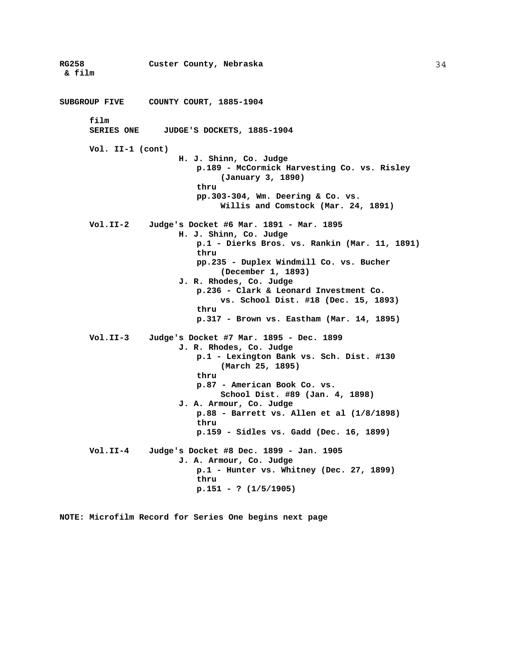**RG258 Custer County, Nebraska & film SUBGROUP FIVE COUNTY COURT, 1885-1904 film SERIES ONE JUDGE'S DOCKETS, 1885-1904 Vol. II-1 (cont) H. J. Shinn, Co. Judge p.189 - McCormick Harvesting Co. vs. Risley (January 3, 1890) thru pp.303-304, Wm. Deering & Co. vs. Willis and Comstock (Mar. 24, 1891) Vol.II-2 Judge's Docket #6 Mar. 1891 - Mar. 1895 H. J. Shinn, Co. Judge p.1 - Dierks Bros. vs. Rankin (Mar. 11, 1891) thru pp.235 - Duplex Windmill Co. vs. Bucher (December 1, 1893) J. R. Rhodes, Co. Judge p.236 - Clark & Leonard Investment Co. vs. School Dist. #18 (Dec. 15, 1893) thru p.317 - Brown vs. Eastham (Mar. 14, 1895) Vol.II-3 Judge's Docket #7 Mar. 1895 - Dec. 1899 J. R. Rhodes, Co. Judge p.1 - Lexington Bank vs. Sch. Dist. #130 (March 25, 1895) thru p.87 - American Book Co. vs. School Dist. #89 (Jan. 4, 1898) J. A. Armour, Co. Judge p.88 - Barrett vs. Allen et al (1/8/1898) thru p.159 - Sidles vs. Gadd (Dec. 16, 1899) Vol.II-4 Judge's Docket #8 Dec. 1899 - Jan. 1905 J. A. Armour, Co. Judge p.1 - Hunter vs. Whitney (Dec. 27, 1899) thru p.151 - ? (1/5/1905)** 

**NOTE: Microfilm Record for Series One begins next page**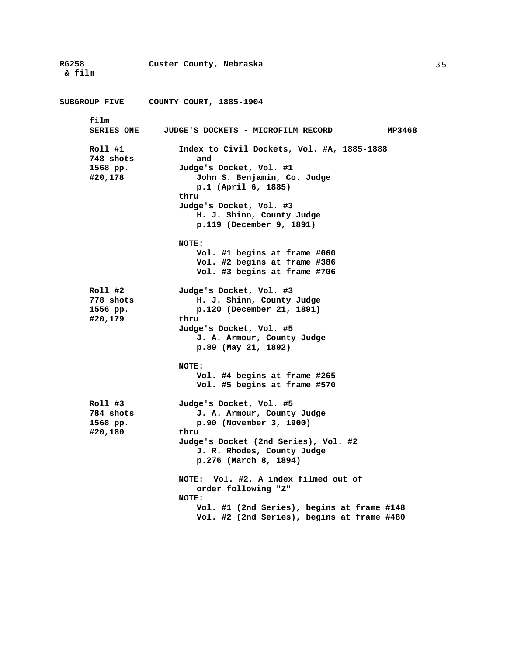**RG258 Custer County, Nebraska & film SUBGROUP FIVE COUNTY COURT, 1885-1904 film SERIES ONE JUDGE'S DOCKETS - MICROFILM RECORD MP3468 Roll #1 Index to Civil Dockets, Vol. #A, 1885-1888 748 shots and 1568 pp. Judge's Docket, Vol. #1 #20,178 John S. Benjamin, Co. Judge p.1 (April 6, 1885) thru Judge's Docket, Vol. #3 H. J. Shinn, County Judge p.119 (December 9, 1891) NOTE: Vol. #1 begins at frame #060 Vol. #2 begins at frame #386 Vol. #3 begins at frame #706 Roll #2 Judge's Docket, Vol. #3 778 shots H. J. Shinn, County Judge 1556 pp. p.120 (December 21, 1891) #20,179 thru Judge's Docket, Vol. #5 J. A. Armour, County Judge p.89 (May 21, 1892) NOTE: Vol. #4 begins at frame #265 Vol. #5 begins at frame #570 Roll #3 Judge's Docket, Vol. #5 784 shots J. A. Armour, County Judge 1568 pp. p.90 (November 3, 1900) #20,180 thru Judge's Docket (2nd Series), Vol. #2 J. R. Rhodes, County Judge p.276 (March 8, 1894) NOTE: Vol. #2, A index filmed out of order following "Z" NOTE: Vol. #1 (2nd Series), begins at frame #148 Vol. #2 (2nd Series), begins at frame #480**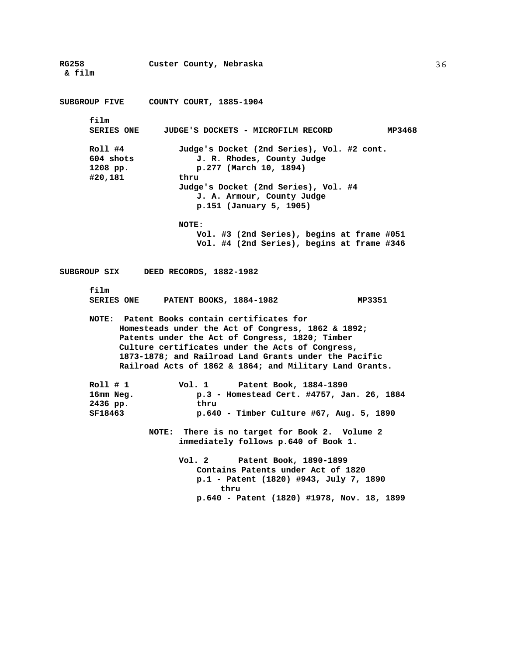**RG258 Custer County, Nebraska & film SUBGROUP FIVE COUNTY COURT, 1885-1904 film SERIES ONE JUDGE'S DOCKETS - MICROFILM RECORD MP3468 Roll #4 Judge's Docket (2nd Series), Vol. #2 cont. 604 shots J. R. Rhodes, County Judge 1208 pp. p.277 (March 10, 1894) #20,181 thru Judge's Docket (2nd Series), Vol. #4 J. A. Armour, County Judge p.151 (January 5, 1905) NOTE: Vol. #3 (2nd Series), begins at frame #051 Vol. #4 (2nd Series), begins at frame #346 SUBGROUP SIX DEED RECORDS, 1882-1982 film**  PATENT BOOKS, 1884-1982 MP3351 **NOTE: Patent Books contain certificates for Homesteads under the Act of Congress, 1862 & 1892; Patents under the Act of Congress, 1820; Timber Culture certificates under the Acts of Congress, 1873-1878; and Railroad Land Grants under the Pacific Railroad Acts of 1862 & 1864; and Military Land Grants. Roll # 1 Vol. 1 Patent Book, 1884-1890 16mm Neg. p.3 - Homestead Cert. #4757, Jan. 26, 1884 2436 pp. thru SF18463 p.640 - Timber Culture #67, Aug. 5, 1890 NOTE: There is no target for Book 2. Volume 2 immediately follows p.640 of Book 1. Vol. 2 Patent Book, 1890-1899 Contains Patents under Act of 1820 p.1 - Patent (1820) #943, July 7, 1890 thru p.640 - Patent (1820) #1978, Nov. 18, 1899**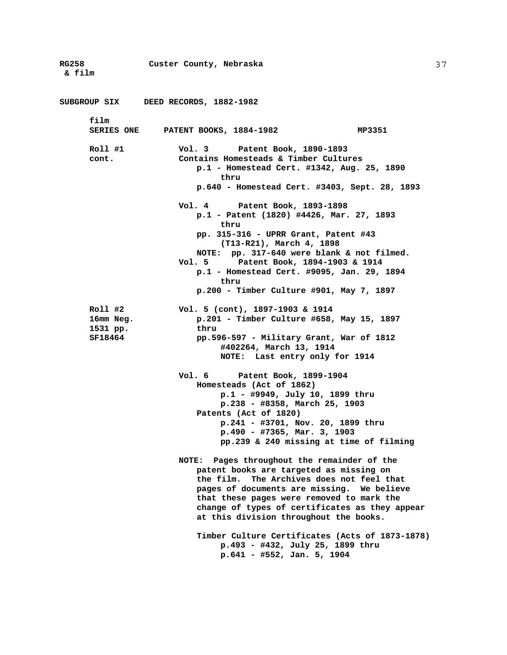**RG258 Custer County, Nebraska & film SUBGROUP SIX DEED RECORDS, 1882-1982 film SERIES ONE PATENT BOOKS, 1884-1982 MP3351 Roll #1 Vol. 3 Patent Book, 1890-1893 cont. Contains Homesteads & Timber Cultures p.1 - Homestead Cert. #1342, Aug. 25, 1890 thru p.640 - Homestead Cert. #3403, Sept. 28, 1893 Vol. 4 Patent Book, 1893-1898 p.1 - Patent (1820) #4426, Mar. 27, 1893 thru pp. 315-316 - UPRR Grant, Patent #43 (T13-R21), March 4, 1898 NOTE: pp. 317-640 were blank & not filmed. Vol. 5 Patent Book, 1894-1903 & 1914 p.1 - Homestead Cert. #9095, Jan. 29, 1894 thru p.200 - Timber Culture #901, May 7, 1897 Roll #2 Vol. 5 (cont), 1897-1903 & 1914 16mm Neg. p.201 - Timber Culture #658, May 15, 1897 1531 pp. thru SF18464 pp.596-597 - Military Grant, War of 1812 #402264, March 13, 1914 NOTE: Last entry only for 1914 Vol. 6 Patent Book, 1899-1904 Homesteads (Act of 1862) p.1 - #9949, July 10, 1899 thru p.238 - #8358, March 25, 1903 Patents (Act of 1820) p.241 - #3701, Nov. 20, 1899 thru p.490 - #7365, Mar. 3, 1903 pp.239 & 240 missing at time of filming NOTE: Pages throughout the remainder of the patent books are targeted as missing on the film. The Archives does not feel that pages of documents are missing. We believe that these pages were removed to mark the change of types of certificates as they appear at this division throughout the books. Timber Culture Certificates (Acts of 1873-1878) p.493 - #432, July 25, 1899 thru p.641 - #552, Jan. 5, 1904**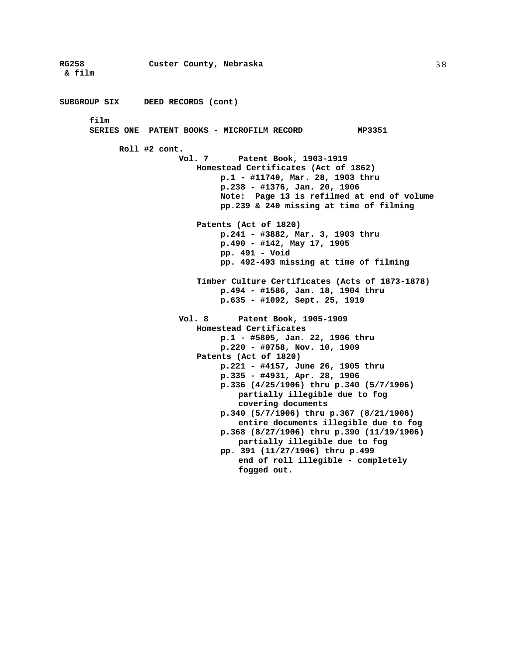**RG258 Custer County, Nebraska & film**  38 **SUBGROUP SIX DEED RECORDS (cont) film SERIES ONE PATENT BOOKS - MICROFILM RECORD MP3351 Roll #2 cont. Vol. 7 Patent Book, 1903-1919 Homestead Certificates (Act of 1862) p.1 - #11740, Mar. 28, 1903 thru p.238 - #1376, Jan. 20, 1906 Note: Page 13 is refilmed at end of volume pp.239 & 240 missing at time of filming Patents (Act of 1820) p.241 - #3882, Mar. 3, 1903 thru p.490 - #142, May 17, 1905 pp. 491 - Void pp. 492-493 missing at time of filming Timber Culture Certificates (Acts of 1873-1878) p.494 - #1586, Jan. 18, 1904 thru p.635 - #1092, Sept. 25, 1919 Vol. 8 Patent Book, 1905-1909 Homestead Certificates p.1 - #5805, Jan. 22, 1906 thru p.220 - #0758, Nov. 10, 1909 Patents (Act of 1820) p.221 - #4157, June 26, 1905 thru p.335 - #4931, Apr. 28, 1906 p.336 (4/25/1906) thru p.340 (5/7/1906) partially illegible due to fog covering documents p.340 (5/7/1906) thru p.367 (8/21/1906) entire documents illegible due to fog p.368 (8/27/1906) thru p.390 (11/19/1906) partially illegible due to fog pp. 391 (11/27/1906) thru p.499 end of roll illegible - completely fogged out.**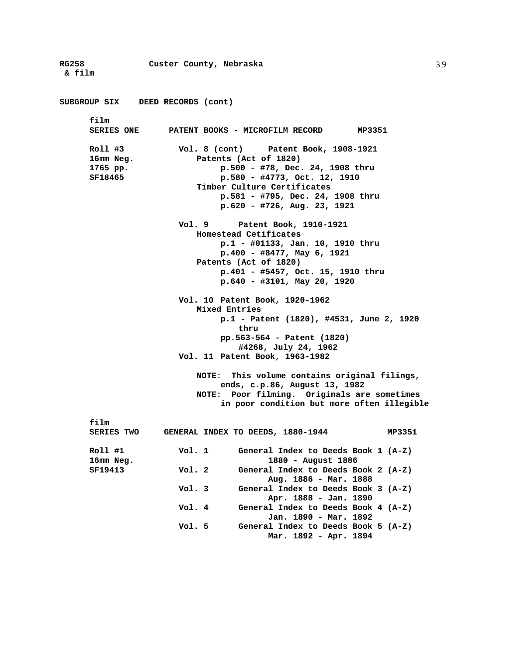**RG258 Custer County, Nebraska & film SUBGROUP SIX DEED RECORDS (cont) film PATENT BOOKS - MICROFILM RECORD MP3351 Roll #3 Vol. 8 (cont) Patent Book, 1908-1921 16mm Neg. Patents (Act of 1820) 1765 pp. p.500 - #78, Dec. 24, 1908 thru SF18465 p.580 - #4773, Oct. 12, 1910 Timber Culture Certificates p.581 - #795, Dec. 24, 1908 thru p.620 - #726, Aug. 23, 1921 Vol. 9 Patent Book, 1910-1921 Homestead Cetificates p.1 - #01133, Jan. 10, 1910 thru p.400 - #8477, May 6, 1921 Patents (Act of 1820) p.401 - #5457, Oct. 15, 1910 thru p.640 - #3101, May 20, 1920 Vol. 10 Patent Book, 1920-1962 Mixed Entries p.1 - Patent (1820), #4531, June 2, 1920 thru pp.563-564 - Patent (1820) #4268, July 24, 1962 Vol. 11 Patent Book, 1963-1982 NOTE: This volume contains original filings, ends, c.p.86, August 13, 1982 NOTE: Poor filming. Originals are sometimes in poor condition but more often illegible film SERIES TWO GENERAL INDEX TO DEEDS, 1880-1944 MP3351 Roll #1 Vol. 1 General Index to Deeds Book 1 (A-Z) 16mm Neg. 1880 - August 1886 SF19413 Vol. 2 General Index to Deeds Book 2 (A-Z) Aug. 1886 - Mar. 1888 Vol. 3 General Index to Deeds Book 3 (A-Z) Apr. 1888 - Jan. 1890 Vol. 4 General Index to Deeds Book 4 (A-Z) Jan. 1890 - Mar. 1892 Vol. 5 General Index to Deeds Book 5 (A-Z) Mar. 1892 - Apr. 1894**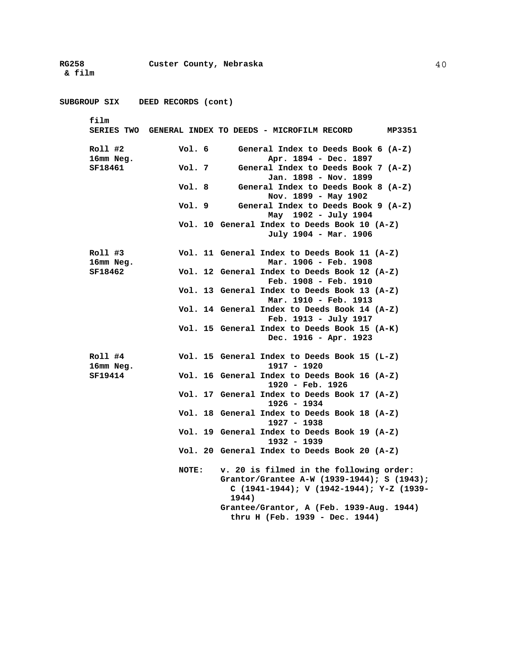**RG258 Custer County, Nebraska & film SUBGROUP SIX DEED RECORDS (cont) film SERIES TWO GENERAL INDEX TO DEEDS - MICROFILM RECORD MP3351 Roll #2 Vol. 6 General Index to Deeds Book 6 (A-Z) 16mm Neg. Apr. 1894 - Dec. 1897 SF18461 Vol. 7 General Index to Deeds Book 7 (A-Z) Jan. 1898 - Nov. 1899 Vol. 8 General Index to Deeds Book 8 (A-Z) Nov. 1899 - May 1902 Vol. 9 General Index to Deeds Book 9 (A-Z) May 1902 - July 1904 Vol. 10 General Index to Deeds Book 10 (A-Z) July 1904 - Mar. 1906 Roll #3 Vol. 11 General Index to Deeds Book 11 (A-Z) 16mm Neg. Mar. 1906 - Feb. 1908 SF18462 Vol. 12 General Index to Deeds Book 12 (A-Z) Feb. 1908 - Feb. 1910 Vol. 13 General Index to Deeds Book 13 (A-Z) Mar. 1910 - Feb. 1913 Vol. 14 General Index to Deeds Book 14 (A-Z) Feb. 1913 - July 1917 Vol. 15 General Index to Deeds Book 15 (A-K) Dec. 1916 - Apr. 1923 Roll #4 Vol. 15 General Index to Deeds Book 15 (L-Z) 16mm Neg. 1917 - 1920 SF19414 Vol. 16 General Index to Deeds Book 16 (A-Z) 1920 - Feb. 1926 Vol. 17 General Index to Deeds Book 17 (A-Z) 1926 - 1934 Vol. 18 General Index to Deeds Book 18 (A-Z) 1927 - 1938 Vol. 19 General Index to Deeds Book 19 (A-Z) 1932 - 1939 Vol. 20 General Index to Deeds Book 20 (A-Z) NOTE: v. 20 is filmed in the following order: Grantor/Grantee A-W (1939-1944); S (1943); C (1941-1944); V (1942-1944); Y-Z (1939- 1944) Grantee/Grantor, A (Feb. 1939-Aug. 1944) thru H (Feb. 1939 - Dec. 1944)**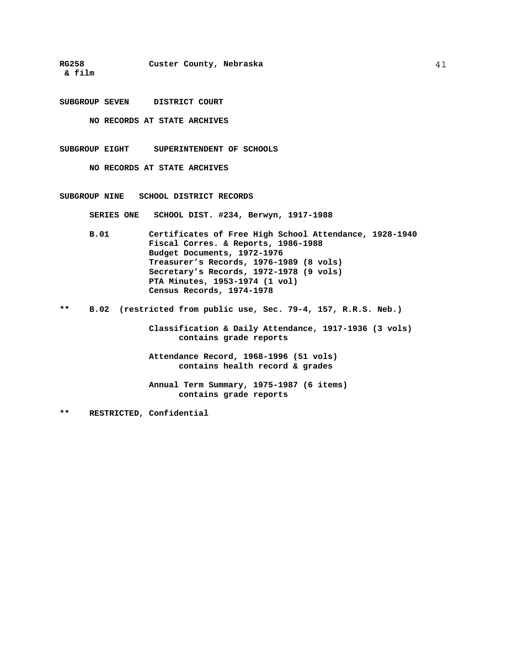**RG258 Custer County, Nebraska** 

 **& film** 

**SUBGROUP SEVEN DISTRICT COURT** 

**NO RECORDS AT STATE ARCHIVES** 

**SUBGROUP EIGHT SUPERINTENDENT OF SCHOOLS** 

**NO RECORDS AT STATE ARCHIVES** 

**SUBGROUP NINE SCHOOL DISTRICT RECORDS** 

 **SERIES ONE SCHOOL DIST. #234, Berwyn, 1917-1988** 

- **B.01 Certificates of Free High School Attendance, 1928-1940 Fiscal Corres. & Reports, 1986-1988 Budget Documents, 1972-1976 Treasurer's Records, 1976-1989 (8 vols) Secretary's Records, 1972-1978 (9 vols) PTA Minutes, 1953-1974 (1 vol) Census Records, 1974-1978**
- **\*\* B.02 (restricted from public use, Sec. 79-4, 157, R.R.S. Neb.)**

**Classification & Daily Attendance, 1917-1936 (3 vols) contains grade reports** 

**Attendance Record, 1968-1996 (51 vols) contains health record & grades** 

**Annual Term Summary, 1975-1987 (6 items) contains grade reports** 

**\*\* RESTRICTED, Confidential**